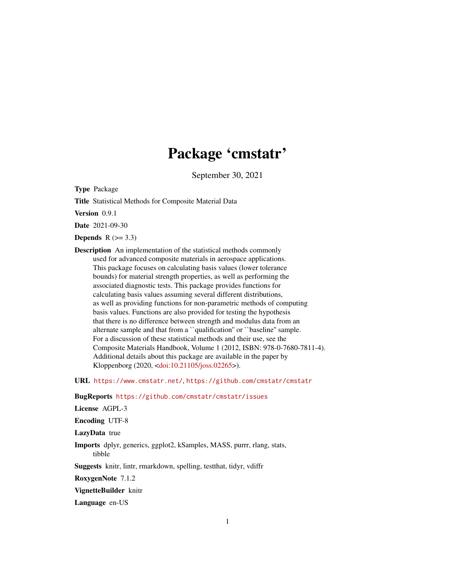# Package 'cmstatr'

September 30, 2021

<span id="page-0-0"></span>Type Package

Title Statistical Methods for Composite Material Data

Version 0.9.1

Date 2021-09-30

Depends  $R$  ( $>= 3.3$ )

Description An implementation of the statistical methods commonly used for advanced composite materials in aerospace applications. This package focuses on calculating basis values (lower tolerance bounds) for material strength properties, as well as performing the associated diagnostic tests. This package provides functions for calculating basis values assuming several different distributions, as well as providing functions for non-parametric methods of computing basis values. Functions are also provided for testing the hypothesis that there is no difference between strength and modulus data from an alternate sample and that from a ``qualification'' or ``baseline'' sample. For a discussion of these statistical methods and their use, see the Composite Materials Handbook, Volume 1 (2012, ISBN: 978-0-7680-7811-4). Additional details about this package are available in the paper by Kloppenborg (2020, [<doi:10.21105/joss.02265>](https://doi.org/10.21105/joss.02265)).

URL <https://www.cmstatr.net/>, <https://github.com/cmstatr/cmstatr>

BugReports <https://github.com/cmstatr/cmstatr/issues>

License AGPL-3

Encoding UTF-8

LazyData true

Imports dplyr, generics, ggplot2, kSamples, MASS, purrr, rlang, stats, tibble

Suggests knitr, lintr, rmarkdown, spelling, testthat, tidyr, vdiffr

RoxygenNote 7.1.2

VignetteBuilder knitr

Language en-US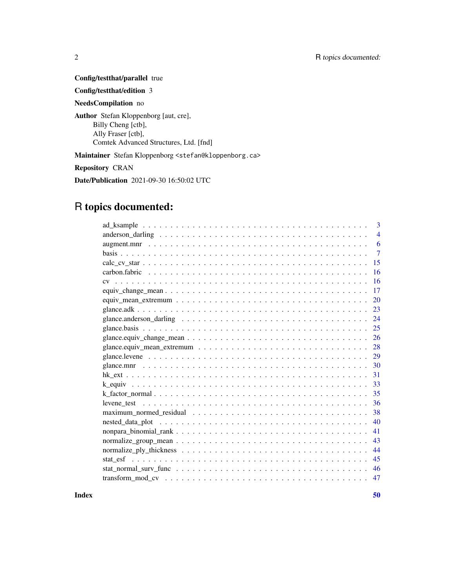Config/testthat/parallel true

Config/testthat/edition 3

NeedsCompilation no

Author Stefan Kloppenborg [aut, cre], Billy Cheng [ctb], Ally Fraser [ctb], Comtek Advanced Structures, Ltd. [fnd]

Maintainer Stefan Kloppenborg <stefan@kloppenborg.ca>

Repository CRAN

Date/Publication 2021-09-30 16:50:02 UTC

## R topics documented:

| 3                                                                                                            |
|--------------------------------------------------------------------------------------------------------------|
| $\overline{4}$                                                                                               |
| 6                                                                                                            |
| $\overline{7}$                                                                                               |
| 15                                                                                                           |
| 16                                                                                                           |
| 16                                                                                                           |
| 17                                                                                                           |
| 20                                                                                                           |
| 23                                                                                                           |
| 24                                                                                                           |
|                                                                                                              |
| 26                                                                                                           |
|                                                                                                              |
|                                                                                                              |
| 30                                                                                                           |
| 31                                                                                                           |
| 33                                                                                                           |
| 35                                                                                                           |
| 36                                                                                                           |
| 38<br>maximum normed residual $\ldots \ldots \ldots \ldots \ldots \ldots \ldots \ldots \ldots \ldots \ldots$ |
| 40                                                                                                           |
| 41                                                                                                           |
| 43                                                                                                           |
| 44                                                                                                           |
| 45                                                                                                           |
| 46                                                                                                           |
| 47                                                                                                           |
|                                                                                                              |

 $\blacksquare$  Index  $\blacksquare$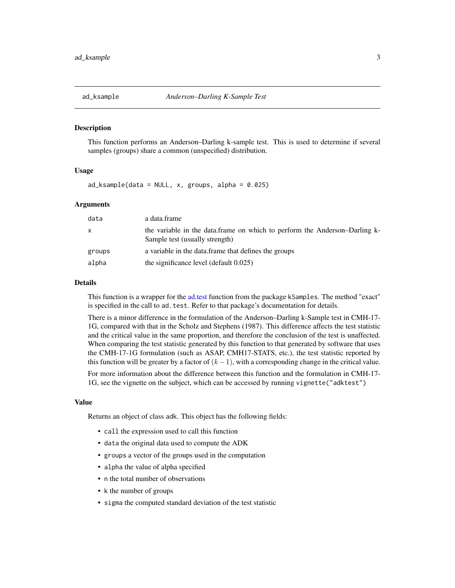<span id="page-2-1"></span><span id="page-2-0"></span>

#### Description

This function performs an Anderson–Darling k-sample test. This is used to determine if several samples (groups) share a common (unspecified) distribution.

## Usage

 $ad_{\text{Ksample}}(data = NULL, x, groups, alpha = 0.025)$ 

## Arguments

| data   | a data.frame                                                                                                 |
|--------|--------------------------------------------------------------------------------------------------------------|
| X      | the variable in the data.frame on which to perform the Anderson–Darling k-<br>Sample test (usually strength) |
| groups | a variable in the data. frame that defines the groups                                                        |
| alpha  | the significance level (default 0.025)                                                                       |

## Details

This function is a wrapper for the [ad.test](#page-0-0) function from the package kSamples. The method "exact" is specified in the call to ad. test. Refer to that package's documentation for details.

There is a minor difference in the formulation of the Anderson–Darling k-Sample test in CMH-17- 1G, compared with that in the Scholz and Stephens (1987). This difference affects the test statistic and the critical value in the same proportion, and therefore the conclusion of the test is unaffected. When comparing the test statistic generated by this function to that generated by software that uses the CMH-17-1G formulation (such as ASAP, CMH17-STATS, etc.), the test statistic reported by this function will be greater by a factor of  $(k - 1)$ , with a corresponding change in the critical value.

For more information about the difference between this function and the formulation in CMH-17- 1G, see the vignette on the subject, which can be accessed by running vignette("adktest")

## Value

Returns an object of class adk. This object has the following fields:

- call the expression used to call this function
- data the original data used to compute the ADK
- groups a vector of the groups used in the computation
- alpha the value of alpha specified
- n the total number of observations
- k the number of groups
- sigma the computed standard deviation of the test statistic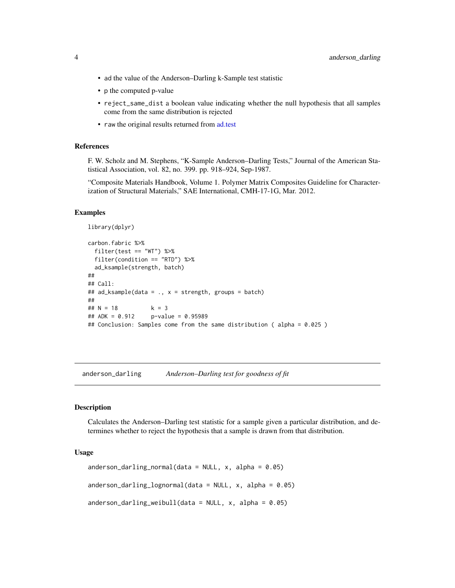- <span id="page-3-0"></span>• ad the value of the Anderson–Darling k-Sample test statistic
- p the computed p-value
- reject\_same\_dist a boolean value indicating whether the null hypothesis that all samples come from the same distribution is rejected
- raw the original results returned from [ad.test](#page-0-0)

## References

F. W. Scholz and M. Stephens, "K-Sample Anderson–Darling Tests," Journal of the American Statistical Association, vol. 82, no. 399. pp. 918–924, Sep-1987.

"Composite Materials Handbook, Volume 1. Polymer Matrix Composites Guideline for Characterization of Structural Materials," SAE International, CMH-17-1G, Mar. 2012.

## Examples

```
library(dplyr)
carbon.fabric %>%
 filter(test == "WT") %>%
 filter(condition == "RTD") %>%
 ad_ksample(strength, batch)
##
## Call:
## ad_ksample(data = ., x = strength, groups = batch)
##
\# # N = 18 k = 3
## ADK = 0.912 p-value = 0.95989
## Conclusion: Samples come from the same distribution ( alpha = 0.025 )
```
<span id="page-3-2"></span>anderson\_darling *Anderson–Darling test for goodness of fit*

## <span id="page-3-1"></span>Description

Calculates the Anderson–Darling test statistic for a sample given a particular distribution, and determines whether to reject the hypothesis that a sample is drawn from that distribution.

#### Usage

```
anderson_darling_normal(data = NULL, x, alpha = 0.05)anderson_darling_lognormal(data = NULL, x, alpha = 0.05)
anderson_darling_weibull(data = NULL, x, alpha = 0.05)
```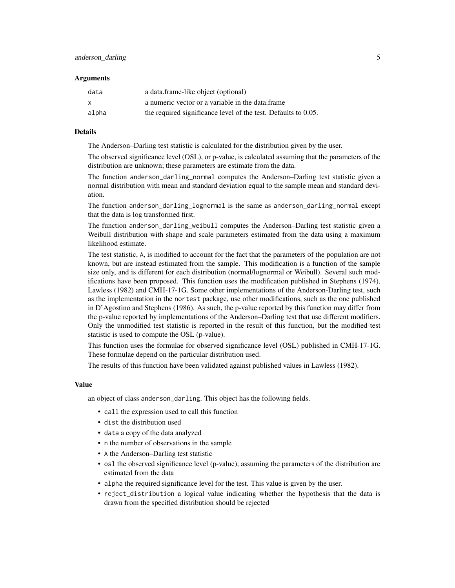#### **Arguments**

| data  | a data.frame-like object (optional)                            |
|-------|----------------------------------------------------------------|
| X     | a numeric vector or a variable in the data.frame               |
| alpha | the required significance level of the test. Defaults to 0.05. |

## Details

The Anderson–Darling test statistic is calculated for the distribution given by the user.

The observed significance level (OSL), or p-value, is calculated assuming that the parameters of the distribution are unknown; these parameters are estimate from the data.

The function anderson\_darling\_normal computes the Anderson–Darling test statistic given a normal distribution with mean and standard deviation equal to the sample mean and standard deviation.

The function anderson\_darling\_lognormal is the same as anderson\_darling\_normal except that the data is log transformed first.

The function anderson\_darling\_weibull computes the Anderson–Darling test statistic given a Weibull distribution with shape and scale parameters estimated from the data using a maximum likelihood estimate.

The test statistic, A, is modified to account for the fact that the parameters of the population are not known, but are instead estimated from the sample. This modification is a function of the sample size only, and is different for each distribution (normal/lognormal or Weibull). Several such modifications have been proposed. This function uses the modification published in Stephens (1974), Lawless (1982) and CMH-17-1G. Some other implementations of the Anderson-Darling test, such as the implementation in the nortest package, use other modifications, such as the one published in D'Agostino and Stephens (1986). As such, the p-value reported by this function may differ from the p-value reported by implementations of the Anderson–Darling test that use different modifiers. Only the unmodified test statistic is reported in the result of this function, but the modified test statistic is used to compute the OSL (p-value).

This function uses the formulae for observed significance level (OSL) published in CMH-17-1G. These formulae depend on the particular distribution used.

The results of this function have been validated against published values in Lawless (1982).

## Value

an object of class anderson\_darling. This object has the following fields.

- call the expression used to call this function
- dist the distribution used
- data a copy of the data analyzed
- n the number of observations in the sample
- A the Anderson–Darling test statistic
- osl the observed significance level (p-value), assuming the parameters of the distribution are estimated from the data
- alpha the required significance level for the test. This value is given by the user.
- reject\_distribution a logical value indicating whether the hypothesis that the data is drawn from the specified distribution should be rejected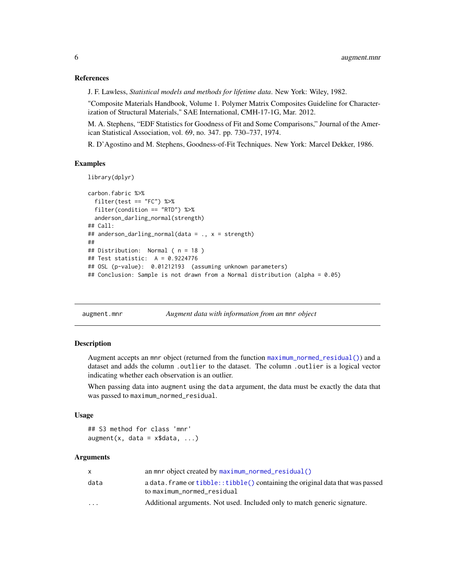## References

J. F. Lawless, *Statistical models and methods for lifetime data*. New York: Wiley, 1982.

"Composite Materials Handbook, Volume 1. Polymer Matrix Composites Guideline for Characterization of Structural Materials," SAE International, CMH-17-1G, Mar. 2012.

M. A. Stephens, "EDF Statistics for Goodness of Fit and Some Comparisons," Journal of the American Statistical Association, vol. 69, no. 347. pp. 730–737, 1974.

R. D'Agostino and M. Stephens, Goodness-of-Fit Techniques. New York: Marcel Dekker, 1986.

## Examples

```
library(dplyr)
carbon.fabric %>%
 filter(test == "FC") %>%
 filter(condition == "RTD") %>%
 anderson_darling_normal(strength)
## Call:
## anderson_darling_normal(data = ., x = strength)
##
## Distribution: Normal ( n = 18 )
## Test statistic: A = 0.9224776
## OSL (p-value): 0.01212193 (assuming unknown parameters)
## Conclusion: Sample is not drawn from a Normal distribution (alpha = 0.05)
```
augment.mnr *Augment data with information from an* mnr *object*

#### Description

Augment accepts an mnr object (returned from the function [maximum\\_normed\\_residual\(\)](#page-37-1)) and a dataset and adds the column .outlier to the dataset. The column .outlier is a logical vector indicating whether each observation is an outlier.

When passing data into augment using the data argument, the data must be exactly the data that was passed to maximum\_normed\_residual.

## Usage

## S3 method for class 'mnr'  $augment(x, data = x$data, ...)$ 

## Arguments

|                         | an mnr object created by $maximum\_normal\_residual()$                                                        |
|-------------------------|---------------------------------------------------------------------------------------------------------------|
| data                    | a data. frame or tibble:: tibble() containing the original data that was passed<br>to maximum normed residual |
| $\cdot$ $\cdot$ $\cdot$ | Additional arguments. Not used. Included only to match generic signature.                                     |

<span id="page-5-0"></span>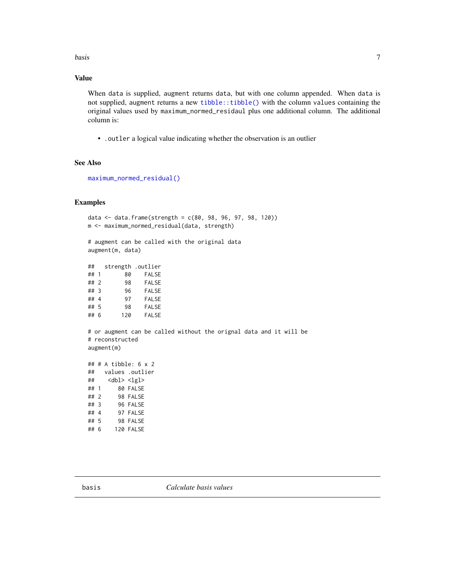<span id="page-6-0"></span>**basis** 7

## Value

When data is supplied, augment returns data, but with one column appended. When data is not supplied, augment returns a new [tibble::tibble\(\)](#page-0-0) with the column values containing the original values used by maximum\_normed\_residaul plus one additional column. The additional column is:

• .outler a logical value indicating whether the observation is an outlier

## See Also

[maximum\\_normed\\_residual\(\)](#page-37-1)

## Examples

```
data \leq data.frame(strength = c(80, 98, 96, 97, 98, 120))
m <- maximum_normed_residual(data, strength)
# augment can be called with the original data
augment(m, data)
## strength .outlier
## 1 80 FALSE
## 2 98 FALSE
         96 FALSE
## 4 97 FALSE
## 5 98 FALSE
## 6 120 FALSE
# or augment can be called without the orignal data and it will be
# reconstructed
augment(m)
## # A tibble: 6 x 2
## values .outlier
\## <dbl> <lgl>
## 1 80 FALSE
## 2 98 FALSE
## 3 96 FALSE
## 4 97 FALSE
## 5 98 FALSE
## 6 120 FALSE
```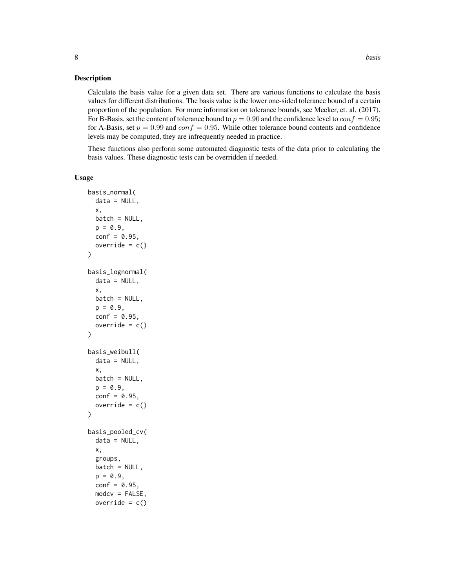## Description

Calculate the basis value for a given data set. There are various functions to calculate the basis values for different distributions. The basis value is the lower one-sided tolerance bound of a certain proportion of the population. For more information on tolerance bounds, see Meeker, et. al. (2017). For B-Basis, set the content of tolerance bound to  $p = 0.90$  and the confidence level to  $conf = 0.95$ ; for A-Basis, set  $p = 0.99$  and  $conf = 0.95$ . While other tolerance bound contents and confidence levels may be computed, they are infrequently needed in practice.

These functions also perform some automated diagnostic tests of the data prior to calculating the basis values. These diagnostic tests can be overridden if needed.

#### Usage

```
basis_normal(
  data = NULL,x,
 batch = NULL,p = 0.9,
  conf = 0.95,override = c())
basis_lognormal(
  data = NULL,
  x,
 batch = NULL,
 p = 0.9,
 conf = 0.95,
  override = c())
basis_weibull(
 data = NULL,
  x,
 batch = NULL,p = 0.9,
  conf = 0.95,override = c())
basis_pooled_cv(
  data = NULL,x,
  groups,
 batch = NULL,
 p = 0.9,
  conf = 0.95,modcv = FALSE,override = c()
```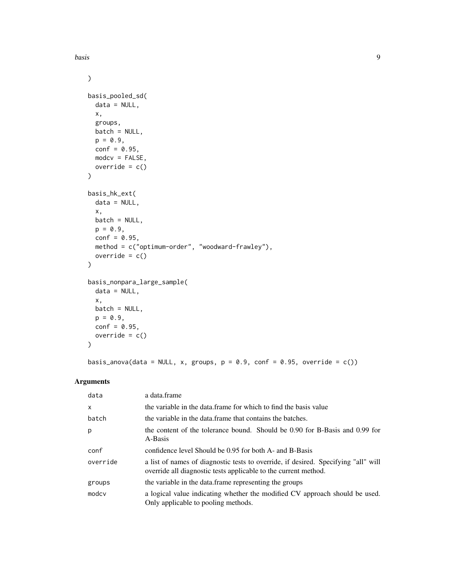basis **basis basis basis basis basis basis basis basis basis basis basis** 

```
\mathcal{L}basis_pooled_sd(
  data = NULL,x,
  groups,
  batch = NULL,
  p = 0.9,
  conf = 0.95,modcv = FALSE,
  override = c()\mathcal{L}basis_hk_ext(
  data = NULL,
  x,
  batch = NULL,
  p = 0.9,
  conf = 0.95,method = c("optimum-order", "woodward-frawley"),
  override = c())
basis_nonpara_large_sample(
  data = NULL,x,
  batch = NULL,
  p = 0.9,
  conf = 0.95,override = c()
```
 $\mathcal{L}$ 

basis\_anova(data = NULL, x, groups,  $p = 0.9$ , conf = 0.95, override = c())

## Arguments

| data         | a data.frame                                                                                                                                          |
|--------------|-------------------------------------------------------------------------------------------------------------------------------------------------------|
| $\mathsf{x}$ | the variable in the data frame for which to find the basis value                                                                                      |
| batch        | the variable in the data frame that contains the batches.                                                                                             |
| p            | the content of the tolerance bound. Should be 0.90 for B-Basis and 0.99 for<br>A-Basis                                                                |
| conf         | confidence level Should be 0.95 for both A- and B-Basis                                                                                               |
| override     | a list of names of diagnostic tests to override, if desired. Specifying "all" will<br>override all diagnostic tests applicable to the current method. |
| groups       | the variable in the data.frame representing the groups                                                                                                |
| modcy        | a logical value indicating whether the modified CV approach should be used.<br>Only applicable to pooling methods.                                    |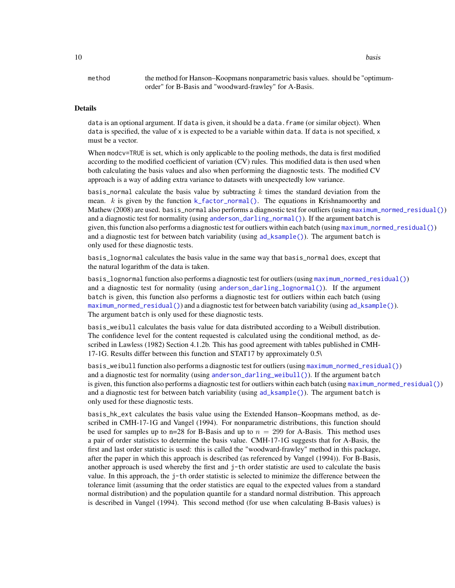<span id="page-9-0"></span>10 basis **basis basis basis basis basis** 

method the method for Hanson–Koopmans nonparametric basis values. should be "optimumorder" for B-Basis and "woodward-frawley" for A-Basis.

#### Details

data is an optional argument. If data is given, it should be a data. frame (or similar object). When data is specified, the value of x is expected to be a variable within data. If data is not specified, x must be a vector.

When modcv=TRUE is set, which is only applicable to the pooling methods, the data is first modified according to the modified coefficient of variation (CV) rules. This modified data is then used when both calculating the basis values and also when performing the diagnostic tests. The modified CV approach is a way of adding extra variance to datasets with unexpectedly low variance.

basis\_normal calculate the basis value by subtracting  $k$  times the standard deviation from the mean. k is given by the function  $k$ -factor-normal(). The equations in Krishnamoorthy and Mathew (2008) are used. basis\_normal also performs a diagnostic test for outliers (using [maximum\\_normed\\_residual\(\)](#page-37-1)) and a diagnostic test for normality (using [anderson\\_darling\\_normal\(\)](#page-3-1)). If the argument batch is given, this function also performs a diagnostic test for outliers within each batch (using [maximum\\_normed\\_residual\(\)](#page-37-1)) and a diagnostic test for between batch variability (using  $ad$ <sub>ksample</sub>()). The argument batch is only used for these diagnostic tests.

basis\_lognormal calculates the basis value in the same way that basis\_normal does, except that the natural logarithm of the data is taken.

basis\_lognormal function also performs a diagnostic test for outliers (using [maximum\\_normed\\_residual\(\)](#page-37-1)) and a diagnostic test for normality (using [anderson\\_darling\\_lognormal\(\)](#page-3-1)). If the argument batch is given, this function also performs a diagnostic test for outliers within each batch (using [maximum\\_normed\\_residual\(\)](#page-37-1)) and a diagnostic test for between batch variability (using [ad\\_ksample\(\)](#page-2-1)). The argument batch is only used for these diagnostic tests.

basis\_weibull calculates the basis value for data distributed according to a Weibull distribution. The confidence level for the content requested is calculated using the conditional method, as described in Lawless (1982) Section 4.1.2b. This has good agreement with tables published in CMH-17-1G. Results differ between this function and STAT17 by approximately 0.5\

basis\_weibull function also performs a diagnostic test for outliers (using [maximum\\_normed\\_residual\(\)](#page-37-1)) and a diagnostic test for normality (using [anderson\\_darling\\_weibull\(\)](#page-3-1)). If the argument batch is given, this function also performs a diagnostic test for outliers within each batch (using [maximum\\_normed\\_residual\(\)](#page-37-1)) and a diagnostic test for between batch variability (using  $ad_{\mathsf{S}}$  ksample()). The argument batch is only used for these diagnostic tests.

basis\_hk\_ext calculates the basis value using the Extended Hanson–Koopmans method, as described in CMH-17-1G and Vangel (1994). For nonparametric distributions, this function should be used for samples up to  $n=28$  for B-Basis and up to  $n = 299$  for A-Basis. This method uses a pair of order statistics to determine the basis value. CMH-17-1G suggests that for A-Basis, the first and last order statistic is used: this is called the "woodward-frawley" method in this package, after the paper in which this approach is described (as referenced by Vangel (1994)). For B-Basis, another approach is used whereby the first and j-th order statistic are used to calculate the basis value. In this approach, the j-th order statistic is selected to minimize the difference between the tolerance limit (assuming that the order statistics are equal to the expected values from a standard normal distribution) and the population quantile for a standard normal distribution. This approach is described in Vangel (1994). This second method (for use when calculating B-Basis values) is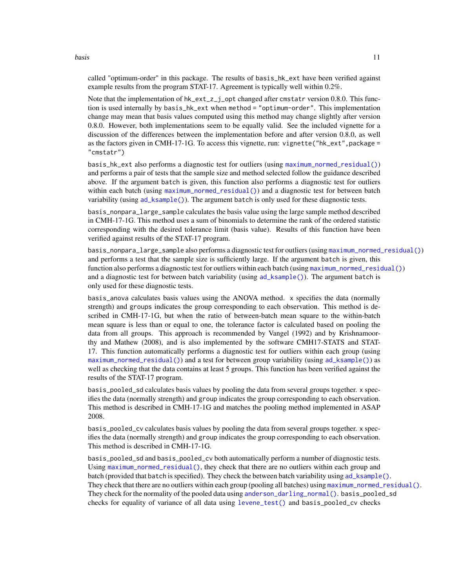#### <span id="page-10-0"></span>basis and the contract of the contract of the contract of the contract of the contract of the contract of the contract of the contract of the contract of the contract of the contract of the contract of the contract of the

called "optimum-order" in this package. The results of basis\_hk\_ext have been verified against example results from the program STAT-17. Agreement is typically well within 0.2%.

Note that the implementation of  $hk$  ext\_z\_j\_opt changed after cmstatr version 0.8.0. This function is used internally by basis\_hk\_ext when method = "optimum-order". This implementation change may mean that basis values computed using this method may change slightly after version 0.8.0. However, both implementations seem to be equally valid. See the included vignette for a discussion of the differences between the implementation before and after version 0.8.0, as well as the factors given in CMH-17-1G. To access this vignette, run: vignette("hk\_ext", package = "cmstatr")

basis\_hk\_ext also performs a diagnostic test for outliers (using [maximum\\_normed\\_residual\(\)](#page-37-1)) and performs a pair of tests that the sample size and method selected follow the guidance described above. If the argument batch is given, this function also performs a diagnostic test for outliers within each batch (using [maximum\\_normed\\_residual\(\)](#page-37-1)) and a diagnostic test for between batch variability (using [ad\\_ksample\(\)](#page-2-1)). The argument batch is only used for these diagnostic tests.

basis\_nonpara\_large\_sample calculates the basis value using the large sample method described in CMH-17-1G. This method uses a sum of binomials to determine the rank of the ordered statistic corresponding with the desired tolerance limit (basis value). Results of this function have been verified against results of the STAT-17 program.

basis\_nonpara\_large\_sample also performs a diagnostic test for outliers (using [maximum\\_normed\\_residual\(\)](#page-37-1)) and performs a test that the sample size is sufficiently large. If the argument batch is given, this function also performs a diagnostic test for outliers within each batch (using  $maximum\_normal\_residual()$ ) and a diagnostic test for between batch variability (using  $ad_{\mathbf{k}}$  and  $\mathbf{k}$ ). The argument batch is only used for these diagnostic tests.

basis\_anova calculates basis values using the ANOVA method. x specifies the data (normally strength) and groups indicates the group corresponding to each observation. This method is described in CMH-17-1G, but when the ratio of between-batch mean square to the within-batch mean square is less than or equal to one, the tolerance factor is calculated based on pooling the data from all groups. This approach is recommended by Vangel (1992) and by Krishnamoorthy and Mathew (2008), and is also implemented by the software CMH17-STATS and STAT-17. This function automatically performs a diagnostic test for outliers within each group (using [maximum\\_normed\\_residual\(\)](#page-37-1)) and a test for between group variability (using  $ad$ \_ksample()) as well as checking that the data contains at least 5 groups. This function has been verified against the results of the STAT-17 program.

basis\_pooled\_sd calculates basis values by pooling the data from several groups together. x specifies the data (normally strength) and group indicates the group corresponding to each observation. This method is described in CMH-17-1G and matches the pooling method implemented in ASAP 2008.

basis\_pooled\_cv calculates basis values by pooling the data from several groups together. x specifies the data (normally strength) and group indicates the group corresponding to each observation. This method is described in CMH-17-1G.

basis\_pooled\_sd and basis\_pooled\_cv both automatically perform a number of diagnostic tests. Using [maximum\\_normed\\_residual\(\)](#page-37-1), they check that there are no outliers within each group and batch (provided that batch is specified). They check the between batch variability using  $ad$  ksample(). They check that there are no outliers within each group (pooling all batches) using [maximum\\_normed\\_residual\(\)](#page-37-1). They check for the normality of the pooled data using [anderson\\_darling\\_normal\(\)](#page-3-1). basis\_pooled\_sd checks for equality of variance of all data using [levene\\_test\(\)](#page-35-1) and basis\_pooled\_cv checks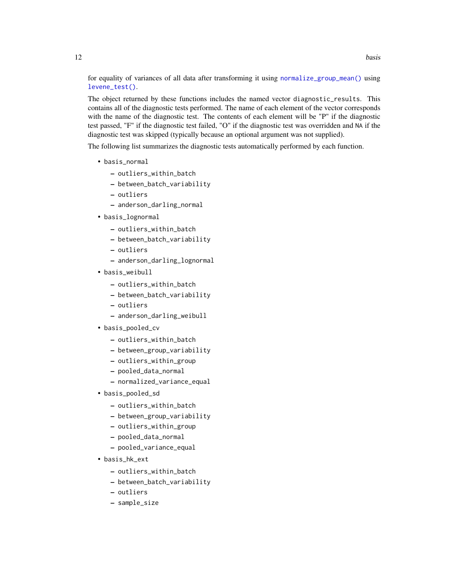<span id="page-11-0"></span>for equality of variances of all data after transforming it using [normalize\\_group\\_mean\(\)](#page-42-1) using [levene\\_test\(\)](#page-35-1).

The object returned by these functions includes the named vector diagnostic\_results. This contains all of the diagnostic tests performed. The name of each element of the vector corresponds with the name of the diagnostic test. The contents of each element will be "P" if the diagnostic test passed, "F" if the diagnostic test failed, "O" if the diagnostic test was overridden and NA if the diagnostic test was skipped (typically because an optional argument was not supplied).

The following list summarizes the diagnostic tests automatically performed by each function.

- basis\_normal
	- outliers\_within\_batch
	- between\_batch\_variability
	- outliers
	- anderson\_darling\_normal
- basis\_lognormal
	- outliers\_within\_batch
	- between\_batch\_variability
	- outliers
	- anderson\_darling\_lognormal
- basis\_weibull
	- outliers\_within\_batch
	- between\_batch\_variability
	- outliers
	- anderson\_darling\_weibull
- basis\_pooled\_cv
	- outliers\_within\_batch
	- between\_group\_variability
	- outliers\_within\_group
	- pooled\_data\_normal
	- normalized\_variance\_equal
- basis\_pooled\_sd
	- outliers\_within\_batch
	- between\_group\_variability
	- outliers\_within\_group
	- pooled\_data\_normal
	- pooled\_variance\_equal
- basis\_hk\_ext
	- outliers\_within\_batch
	- between\_batch\_variability
	- outliers
	- sample\_size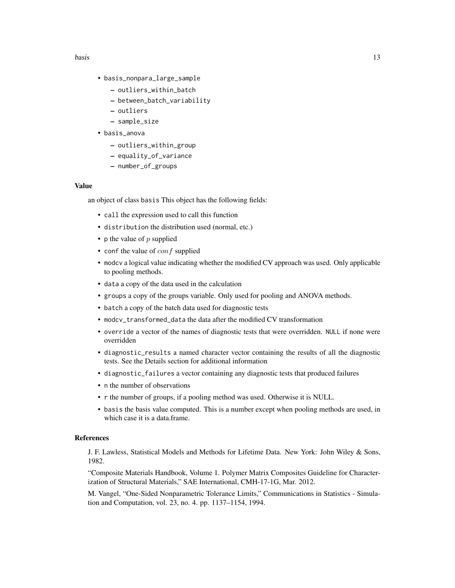- basis\_nonpara\_large\_sample
	- outliers\_within\_batch
	- between\_batch\_variability
	- outliers
	- sample\_size
- basis\_anova
	- outliers\_within\_group
	- equality\_of\_variance
	- number\_of\_groups

## Value

an object of class basis This object has the following fields:

- call the expression used to call this function
- distribution the distribution used (normal, etc.)
- p the value of  $p$  supplied
- conf the value of  $\omega$  f supplied
- modcv a logical value indicating whether the modified CV approach was used. Only applicable to pooling methods.
- data a copy of the data used in the calculation
- groups a copy of the groups variable. Only used for pooling and ANOVA methods.
- batch a copy of the batch data used for diagnostic tests
- modcv\_transformed\_data the data after the modified CV transformation
- override a vector of the names of diagnostic tests that were overridden. NULL if none were overridden
- diagnostic\_results a named character vector containing the results of all the diagnostic tests. See the Details section for additional information
- diagnostic\_failures a vector containing any diagnostic tests that produced failures
- n the number of observations
- r the number of groups, if a pooling method was used. Otherwise it is NULL.
- basis the basis value computed. This is a number except when pooling methods are used, in which case it is a data.frame.

#### References

J. F. Lawless, Statistical Models and Methods for Lifetime Data. New York: John Wiley & Sons, 1982.

"Composite Materials Handbook, Volume 1. Polymer Matrix Composites Guideline for Characterization of Structural Materials," SAE International, CMH-17-1G, Mar. 2012.

M. Vangel, "One-Sided Nonparametric Tolerance Limits," Communications in Statistics - Simulation and Computation, vol. 23, no. 4. pp. 1137–1154, 1994.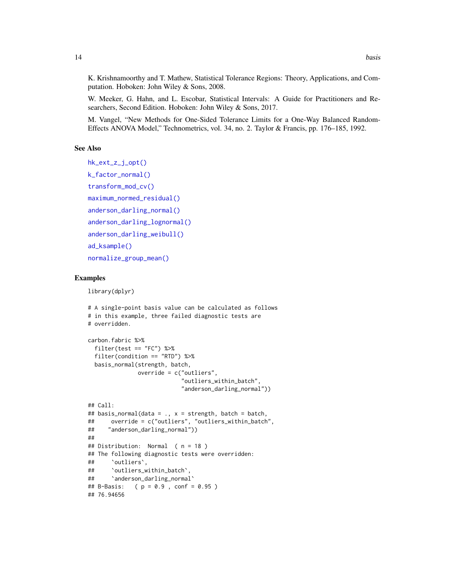<span id="page-13-0"></span>K. Krishnamoorthy and T. Mathew, Statistical Tolerance Regions: Theory, Applications, and Computation. Hoboken: John Wiley & Sons, 2008.

W. Meeker, G. Hahn, and L. Escobar, Statistical Intervals: A Guide for Practitioners and Researchers, Second Edition. Hoboken: John Wiley & Sons, 2017.

M. Vangel, "New Methods for One-Sided Tolerance Limits for a One-Way Balanced Random-Effects ANOVA Model," Technometrics, vol. 34, no. 2. Taylor & Francis, pp. 176–185, 1992.

## See Also

```
hk_ext_z_j_opt()
k_factor_normal()
transform_mod_cv()
maximum_normed_residual()
anderson_darling_normal()
anderson_darling_lognormal()
anderson_darling_weibull()
ad_ksample()
normalize_group_mean()
```
## Examples

```
library(dplyr)
```

```
# A single-point basis value can be calculated as follows
# in this example, three failed diagnostic tests are
# overridden.
carbon.fabric %>%
 filter(test == "FC") %>%
 filter(condition == "RTD") %>%
 basis_normal(strength, batch,
              override = c("outliers",
                           "outliers_within_batch",
                           "anderson_darling_normal"))
## Call:
## basis_normal(data = ., x = strength, batch = batch,
## override = c("outliers", "outliers_within_batch",
## "anderson_darling_normal"))
##
## Distribution: Normal ( n = 18 )
## The following diagnostic tests were overridden:
## `outliers`,
## `outliers_within_batch`,
## `anderson_darling_normal`
## B-Basis: ( p = 0.9 , conf = 0.95 )
## 76.94656
```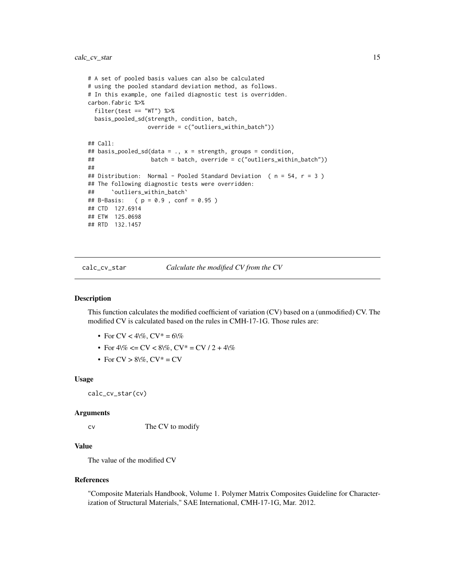```
# A set of pooled basis values can also be calculated
# using the pooled standard deviation method, as follows.
# In this example, one failed diagnostic test is overridden.
carbon.fabric %>%
 filter(test == "WT") %>%
 basis_pooled_sd(strength, condition, batch,
                 override = c("outliers_within_batch"))
## Call:
## basis_pooled_sd(data = ., x = strength, groups = condition,
## batch = batch, override = c("outliers_within_batch"))
##
## Distribution: Normal - Pooled Standard Deviation ( n = 54, r = 3 )
## The following diagnostic tests were overridden:
## `outliers_within_batch`
## B-Basis: ( p = 0.9 , conf = 0.95 )
## CTD 127.6914
## ETW 125.0698
## RTD 132.1457
```
<span id="page-14-1"></span>calc\_cv\_star *Calculate the modified CV from the CV*

## Description

This function calculates the modified coefficient of variation (CV) based on a (unmodified) CV. The modified CV is calculated based on the rules in CMH-17-1G. Those rules are:

- For CV <  $4\%$ , CV  $* = 6\%$
- For  $4\% \leq CV \leq 8\%, CV^* = CV / 2 + 4\%$
- For  $CV > 8\%, CV^* = CV$

#### Usage

calc\_cv\_star(cv)

#### Arguments

cv The CV to modify

#### Value

The value of the modified CV

#### References

"Composite Materials Handbook, Volume 1. Polymer Matrix Composites Guideline for Characterization of Structural Materials," SAE International, CMH-17-1G, Mar. 2012.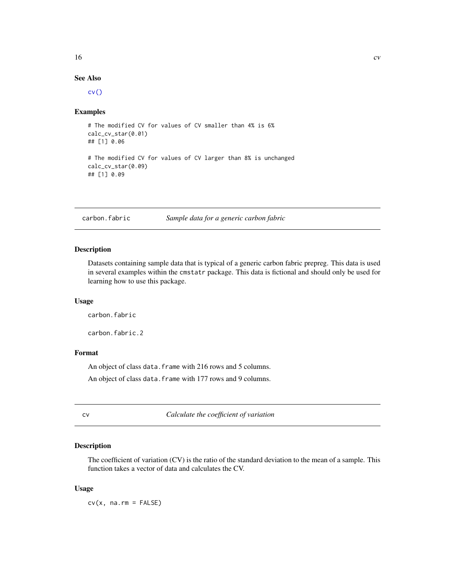## <span id="page-15-0"></span> $16$  cv

## See Also

[cv\(\)](#page-15-1)

## Examples

```
# The modified CV for values of CV smaller than 4% is 6%
calc_cv_star(0.01)
## [1] 0.06
# The modified CV for values of CV larger than 8% is unchanged
calc_cv_star(0.09)
## [1] 0.09
```
carbon.fabric *Sample data for a generic carbon fabric*

## Description

Datasets containing sample data that is typical of a generic carbon fabric prepreg. This data is used in several examples within the cmstatr package. This data is fictional and should only be used for learning how to use this package.

## Usage

carbon.fabric

carbon.fabric.2

## Format

An object of class data. frame with 216 rows and 5 columns. An object of class data. frame with 177 rows and 9 columns.

<span id="page-15-1"></span>

cv *Calculate the coefficient of variation*

## Description

The coefficient of variation (CV) is the ratio of the standard deviation to the mean of a sample. This function takes a vector of data and calculates the CV.

#### Usage

 $cv(x, na.rm = FALSE)$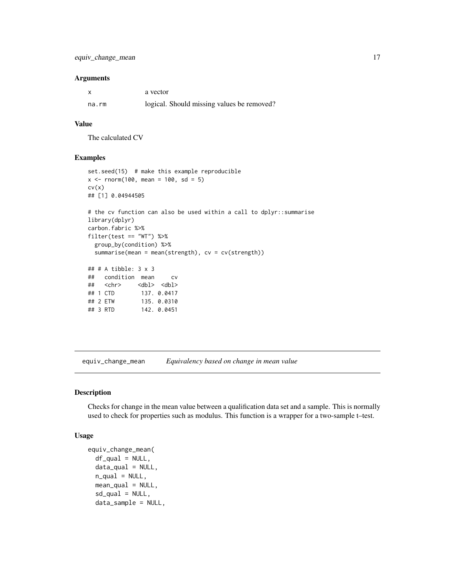## <span id="page-16-0"></span>Arguments

| x     | a vector                                   |
|-------|--------------------------------------------|
| na.rm | logical. Should missing values be removed? |

## Value

The calculated CV

## Examples

```
set.seed(15) # make this example reproducible
x < - rnorm(100, mean = 100, sd = 5)
cv(x)
## [1] 0.04944505
# the cv function can also be used within a call to dplyr::summarise
library(dplyr)
carbon.fabric %>%
filter(test == "WT") %>%
 group_by(condition) %>%
 summarise(mean = mean(strength), cv = cv(strength))
## # A tibble: 3 x 3
## condition mean cv
## <chr> <dbl> <dbl>
## 1 CTD 137. 0.0417
## 2 ETW 135. 0.0310
```
<span id="page-16-1"></span>equiv\_change\_mean *Equivalency based on change in mean value*

## Description

Checks for change in the mean value between a qualification data set and a sample. This is normally used to check for properties such as modulus. This function is a wrapper for a two-sample t–test.

#### Usage

```
equiv_change_mean(
  df_{qual} = NULL,
  data_qual = NULL,
  n<sup>-gual = NULL,</sup>
  mean_qual = NULL,sd\_qual = NULL,data_sample = NULL,
```
## 3 RTD 142. 0.0451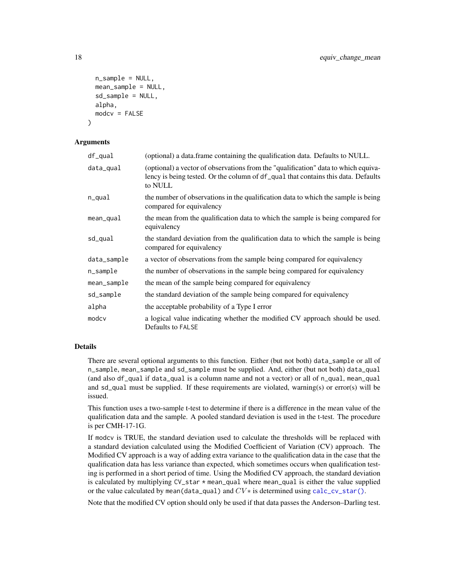```
n_sample = NULL,
  mean_sample = NULL,
  sd_sample = NULL,
  alpha,
  modcv = FALSE
)
```
## **Arguments**

| df_qual     | (optional) a data.frame containing the qualification data. Defaults to NULL.                                                                                                       |
|-------------|------------------------------------------------------------------------------------------------------------------------------------------------------------------------------------|
| data_qual   | (optional) a vector of observations from the "qualification" data to which equiva-<br>lency is being tested. Or the column of df_qual that contains this data. Defaults<br>to NULL |
| n_qual      | the number of observations in the qualification data to which the sample is being<br>compared for equivalency                                                                      |
| mean_qual   | the mean from the qualification data to which the sample is being compared for<br>equivalency                                                                                      |
| sd_qual     | the standard deviation from the qualification data to which the sample is being<br>compared for equivalency                                                                        |
| data_sample | a vector of observations from the sample being compared for equivalency                                                                                                            |
| n_sample    | the number of observations in the sample being compared for equivalency                                                                                                            |
| mean_sample | the mean of the sample being compared for equivalency                                                                                                                              |
| sd_sample   | the standard deviation of the sample being compared for equivalency                                                                                                                |
| alpha       | the acceptable probability of a Type I error                                                                                                                                       |
| modcv       | a logical value indicating whether the modified CV approach should be used.<br>Defaults to FALSE                                                                                   |

## Details

There are several optional arguments to this function. Either (but not both) data\_sample or all of n\_sample, mean\_sample and sd\_sample must be supplied. And, either (but not both) data\_qual (and also df\_qual if data\_qual is a column name and not a vector) or all of n\_qual, mean\_qual and sd\_qual must be supplied. If these requirements are violated, warning(s) or error(s) will be issued.

This function uses a two-sample t-test to determine if there is a difference in the mean value of the qualification data and the sample. A pooled standard deviation is used in the t-test. The procedure is per CMH-17-1G.

If modcv is TRUE, the standard deviation used to calculate the thresholds will be replaced with a standard deviation calculated using the Modified Coefficient of Variation (CV) approach. The Modified CV approach is a way of adding extra variance to the qualification data in the case that the qualification data has less variance than expected, which sometimes occurs when qualification testing is performed in a short period of time. Using the Modified CV approach, the standard deviation is calculated by multiplying CV\_star \* mean\_qual where mean\_qual is either the value supplied or the value calculated by mean(data\_qual) and  $CV*$  is determined using [calc\\_cv\\_star\(\)](#page-14-1).

Note that the modified CV option should only be used if that data passes the Anderson–Darling test.

<span id="page-17-0"></span>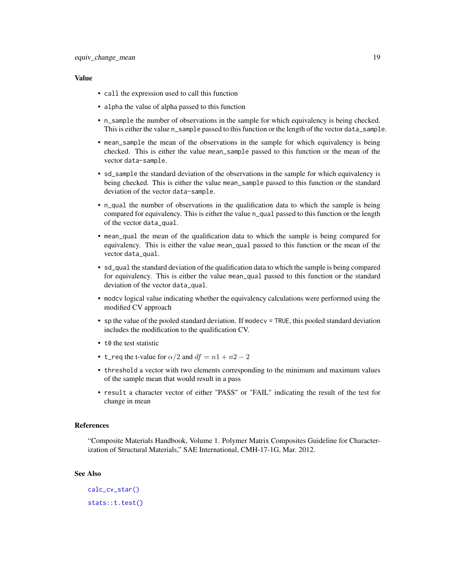## <span id="page-18-0"></span>Value

- call the expression used to call this function
- alpha the value of alpha passed to this function
- n\_sample the number of observations in the sample for which equivalency is being checked. This is either the value n\_sample passed to this function or the length of the vector data\_sample.
- mean\_sample the mean of the observations in the sample for which equivalency is being checked. This is either the value mean\_sample passed to this function or the mean of the vector data-sample.
- sd\_sample the standard deviation of the observations in the sample for which equivalency is being checked. This is either the value mean\_sample passed to this function or the standard deviation of the vector data-sample.
- n\_qual the number of observations in the qualification data to which the sample is being compared for equivalency. This is either the value n\_qual passed to this function or the length of the vector data\_qual.
- mean\_qual the mean of the qualification data to which the sample is being compared for equivalency. This is either the value mean\_qual passed to this function or the mean of the vector data\_qual.
- sd\_qual the standard deviation of the qualification data to which the sample is being compared for equivalency. This is either the value mean\_qual passed to this function or the standard deviation of the vector data\_qual.
- modcv logical value indicating whether the equivalency calculations were performed using the modified CV approach
- sp the value of the pooled standard deviation. If modecy  $=$  TRUE, this pooled standard deviation includes the modification to the qualification CV.
- t0 the test statistic
- t\_req the t-value for  $\alpha/2$  and  $df = n1 + n2 2$
- threshold a vector with two elements corresponding to the minimum and maximum values of the sample mean that would result in a pass
- result a character vector of either "PASS" or "FAIL" indicating the result of the test for change in mean

#### References

"Composite Materials Handbook, Volume 1. Polymer Matrix Composites Guideline for Characterization of Structural Materials," SAE International, CMH-17-1G, Mar. 2012.

## See Also

```
calc_cv_star()
stats::t.test()
```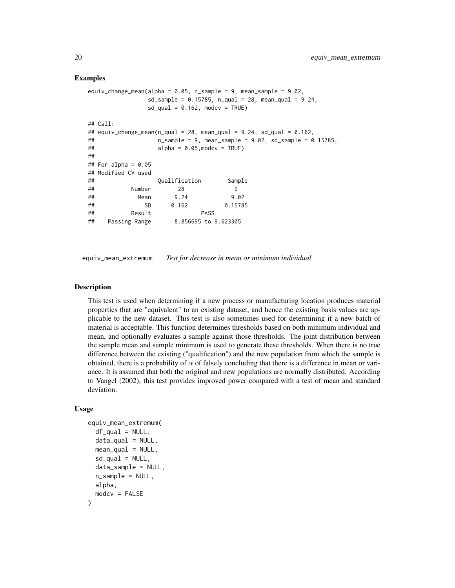## <span id="page-19-0"></span>Examples

```
equiv_change_mean(alpha = 0.05, n_sample = 9, mean_sample = 9.02,
             sd_sample = 0.15785, n_qual = 28, mean_qual = 9.24,
             sd\_qual = 0.162, modcv = TRUE)
## Call:
## equiv_change_mean(n_qual = 28, mean_qual = 9.24, sd_qual = 0.162,
## n_sample = 9, mean_sample = 9.02, sd_sample = 0.15785,
\# alpha = 0.05, modcv = TRUE)
##
## For alpha = 0.05## Modified CV used
## Qualification Sample
## Number 28 9
## Mean 9.24 9.02
## SD 0.162 0.15785
## Result PASS
## Passing Range 8.856695 to 9.623305
```
<span id="page-19-1"></span>equiv\_mean\_extremum *Test for decrease in mean or minimum individual*

## Description

This test is used when determining if a new process or manufacturing location produces material properties that are "equivalent" to an existing dataset, and hence the existing basis values are applicable to the new dataset. This test is also sometimes used for determining if a new batch of material is acceptable. This function determines thresholds based on both minimum individual and mean, and optionally evaluates a sample against those thresholds. The joint distribution between the sample mean and sample minimum is used to generate these thresholds. When there is no true difference between the existing ("qualification") and the new population from which the sample is obtained, there is a probability of  $\alpha$  of falsely concluding that there is a difference in mean or variance. It is assumed that both the original and new populations are normally distributed. According to Vangel (2002), this test provides improved power compared with a test of mean and standard deviation.

#### Usage

```
equiv_mean_extremum(
  df_qual = NULL,dataqual = NULL,
  mean_qual = NULL,
  sd<sub>qual</sub> = NULL,
  data_sample = NULL,
  n_sample = NULL,
  alpha,
  modcv = FALSE
)
```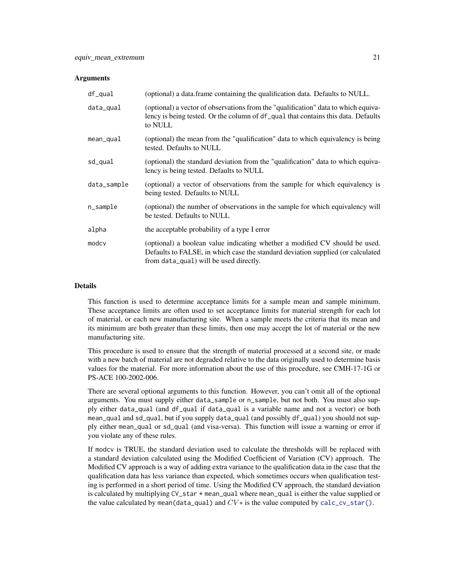#### <span id="page-20-0"></span>**Arguments**

| df_qual     | (optional) a data.frame containing the qualification data. Defaults to NULL.                                                                                                                             |
|-------------|----------------------------------------------------------------------------------------------------------------------------------------------------------------------------------------------------------|
| data_qual   | (optional) a vector of observations from the "qualification" data to which equiva-<br>lency is being tested. Or the column of df_qual that contains this data. Defaults<br>to NULL                       |
| mean_qual   | (optional) the mean from the "qualification" data to which equivalency is being<br>tested. Defaults to NULL                                                                                              |
| sd_qual     | (optional) the standard deviation from the "qualification" data to which equiva-<br>lency is being tested. Defaults to NULL                                                                              |
| data_sample | (optional) a vector of observations from the sample for which equivalency is<br>being tested. Defaults to NULL                                                                                           |
| n_sample    | (optional) the number of observations in the sample for which equivalency will<br>be tested. Defaults to NULL                                                                                            |
| alpha       | the acceptable probability of a type I error                                                                                                                                                             |
| modcy       | (optional) a boolean value indicating whether a modified CV should be used.<br>Defaults to FALSE, in which case the standard deviation supplied (or calculated<br>from data_qual) will be used directly. |

#### Details

This function is used to determine acceptance limits for a sample mean and sample minimum. These acceptance limits are often used to set acceptance limits for material strength for each lot of material, or each new manufacturing site. When a sample meets the criteria that its mean and its minimum are both greater than these limits, then one may accept the lot of material or the new manufacturing site.

This procedure is used to ensure that the strength of material processed at a second site, or made with a new batch of material are not degraded relative to the data originally used to determine basis values for the material. For more information about the use of this procedure, see CMH-17-1G or PS-ACE 100-2002-006.

There are several optional arguments to this function. However, you can't omit all of the optional arguments. You must supply either data\_sample or n\_sample, but not both. You must also supply either data\_qual (and df\_qual if data\_qual is a variable name and not a vector) or both mean\_qual and sd\_qual, but if you supply data\_qual (and possibly df\_qual) you should not supply either mean\_qual or sd\_qual (and visa-versa). This function will issue a warning or error if you violate any of these rules.

If modcv is TRUE, the standard deviation used to calculate the thresholds will be replaced with a standard deviation calculated using the Modified Coefficient of Variation (CV) approach. The Modified CV approach is a way of adding extra variance to the qualification data in the case that the qualification data has less variance than expected, which sometimes occurs when qualification testing is performed in a short period of time. Using the Modified CV approach, the standard deviation is calculated by multiplying  $CV\_star * mean\_qual$  where mean $\_qual$  is either the value supplied or the value calculated by mean(data\_qual) and  $CV*$  is the value computed by [calc\\_cv\\_star\(\)](#page-14-1).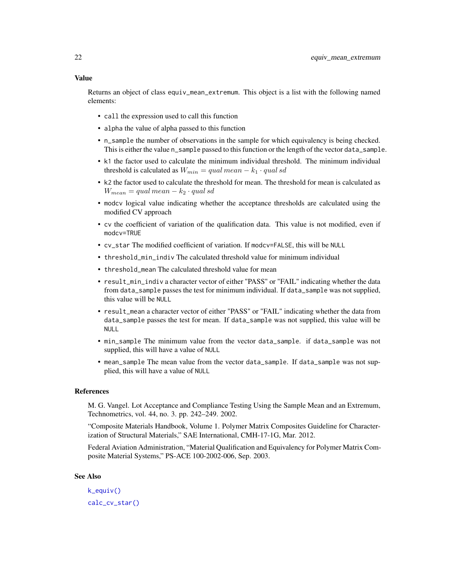## <span id="page-21-0"></span>Value

Returns an object of class equiv\_mean\_extremum. This object is a list with the following named elements:

- call the expression used to call this function
- alpha the value of alpha passed to this function
- n\_sample the number of observations in the sample for which equivalency is being checked. This is either the value n\_sample passed to this function or the length of the vector data\_sample.
- k1 the factor used to calculate the minimum individual threshold. The minimum individual threshold is calculated as  $W_{min} = qual \, mean - k_1 \cdot qual \, sd$
- k2 the factor used to calculate the threshold for mean. The threshold for mean is calculated as  $W_{mean} = qual \, mean - k_2 \cdot qual \, sd$
- modcv logical value indicating whether the acceptance thresholds are calculated using the modified CV approach
- cv the coefficient of variation of the qualification data. This value is not modified, even if modcv=TRUE
- cv\_star The modified coefficient of variation. If modcv=FALSE, this will be NULL
- threshold\_min\_indiv The calculated threshold value for minimum individual
- threshold mean The calculated threshold value for mean
- result\_min\_indiv a character vector of either "PASS" or "FAIL" indicating whether the data from data\_sample passes the test for minimum individual. If data\_sample was not supplied, this value will be NULL
- result\_mean a character vector of either "PASS" or "FAIL" indicating whether the data from data\_sample passes the test for mean. If data\_sample was not supplied, this value will be NULL
- min\_sample The minimum value from the vector data\_sample. if data\_sample was not supplied, this will have a value of NULL
- mean\_sample The mean value from the vector data\_sample. If data\_sample was not supplied, this will have a value of NULL

#### References

M. G. Vangel. Lot Acceptance and Compliance Testing Using the Sample Mean and an Extremum, Technometrics, vol. 44, no. 3. pp. 242–249. 2002.

"Composite Materials Handbook, Volume 1. Polymer Matrix Composites Guideline for Characterization of Structural Materials," SAE International, CMH-17-1G, Mar. 2012.

Federal Aviation Administration, "Material Qualification and Equivalency for Polymer Matrix Composite Material Systems," PS-ACE 100-2002-006, Sep. 2003.

## See Also

[k\\_equiv\(\)](#page-32-1) [calc\\_cv\\_star\(\)](#page-14-1)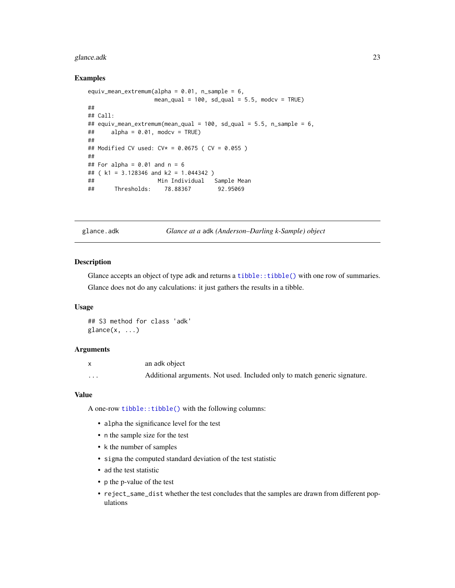#### <span id="page-22-0"></span>glance.adk 23

## Examples

```
equiv_mean_extremum(alpha = 0.01, n_sample = 6,
                  mean_qual = 100, sd_qual = 5.5, modcv = TRUE)
##
## Call:
## equiv_mean_extremum(mean_qual = 100, sd_qual = 5.5, n_sample = 6,
\# alpha = 0.01, modcv = TRUE)
##
## Modified CV used: CV* = 0.0675 ( CV = 0.055 )
##
## For alpha = 0.01 and n = 6## ( k1 = 3.128346 and k2 = 1.044342 )
## Min Individual Sample Mean
## Thresholds: 78.88367 92.95069
```
glance.adk *Glance at a* adk *(Anderson–Darling k-Sample) object*

## Description

Glance accepts an object of type adk and returns a [tibble::tibble\(\)](#page-0-0) with one row of summaries. Glance does not do any calculations: it just gathers the results in a tibble.

## Usage

## S3 method for class 'adk'  $\text{glance}(x, \ldots)$ 

## Arguments

|          | an adk object                                                             |
|----------|---------------------------------------------------------------------------|
| $\cdots$ | Additional arguments. Not used. Included only to match generic signature. |

#### Value

A one-row [tibble::tibble\(\)](#page-0-0) with the following columns:

- alpha the significance level for the test
- n the sample size for the test
- k the number of samples
- sigma the computed standard deviation of the test statistic
- ad the test statistic
- p the p-value of the test
- reject\_same\_dist whether the test concludes that the samples are drawn from different populations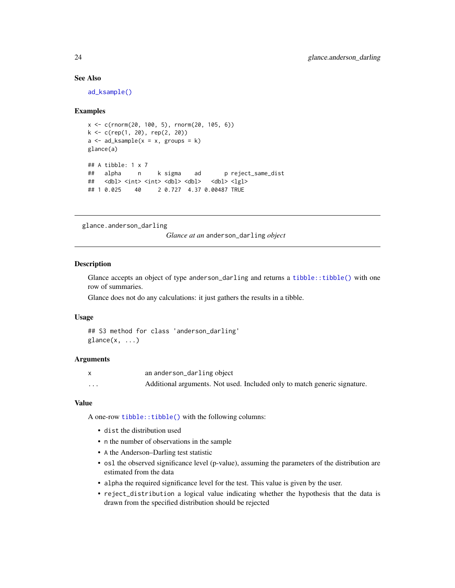## See Also

[ad\\_ksample\(\)](#page-2-1)

## Examples

```
x \leq -c(\text{rnorm}(20, 100, 5), \text{rnorm}(20, 105, 6))k <- c(rep(1, 20), rep(2, 20))
a \leq ad_{\text{Example}}(x = x, \text{ groups} = k)glance(a)
## A tibble: 1 x 7
## alpha n k sigma ad p reject_same_dist
## <dbl> <int> <int> <dbl> <dbl> <dbl> <lgl>
## 1 0.025 40 2 0.727 4.37 0.00487 TRUE
```
glance.anderson\_darling

*Glance at an* anderson\_darling *object*

## Description

Glance accepts an object of type anderson\_darling and returns a [tibble::tibble\(\)](#page-0-0) with one row of summaries.

Glance does not do any calculations: it just gathers the results in a tibble.

#### Usage

```
## S3 method for class 'anderson_darling'
\text{glance}(x, \ldots)
```
## Arguments

|          | an anderson_darling object                                                |
|----------|---------------------------------------------------------------------------|
| $\cdots$ | Additional arguments. Not used. Included only to match generic signature. |

#### Value

A one-row [tibble::tibble\(\)](#page-0-0) with the following columns:

- dist the distribution used
- n the number of observations in the sample
- A the Anderson–Darling test statistic
- osl the observed significance level (p-value), assuming the parameters of the distribution are estimated from the data
- alpha the required significance level for the test. This value is given by the user.
- reject\_distribution a logical value indicating whether the hypothesis that the data is drawn from the specified distribution should be rejected

<span id="page-23-0"></span>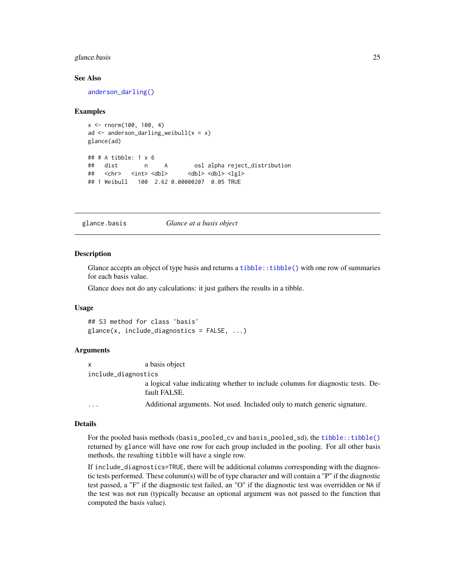## <span id="page-24-0"></span>glance.basis 25

## See Also

[anderson\\_darling\(\)](#page-3-2)

#### Examples

```
x <- rnorm(100, 100, 4)
ad \leq anderson_darling_weibull(x = x)
glance(ad)
## # A tibble: 1 x 6
## dist n A osl alpha reject_distribution
## <chr> <int> <dbl> <dbl> <dbl> <lgl>
## 1 Weibull 100 2.62 0.00000207 0.05 TRUE
```
glance.basis *Glance at a basis object*

#### **Description**

Glance accepts an object of type basis and returns a [tibble::tibble\(\)](#page-0-0) with one row of summaries for each basis value.

Glance does not do any calculations: it just gathers the results in a tibble.

#### Usage

```
## S3 method for class 'basis'
glance(x, include_diagnostics = FALSE, \ldots)
```
## Arguments

| $\mathsf{x}$        | a basis object                                                                                  |  |
|---------------------|-------------------------------------------------------------------------------------------------|--|
| include_diagnostics |                                                                                                 |  |
|                     | a logical value indicating whether to include columns for diagnostic tests. De-<br>fault FALSE. |  |
| .                   | Additional arguments. Not used. Included only to match generic signature.                       |  |

#### Details

For the pooled basis methods (basis\_pooled\_cv and basis\_pooled\_sd), the [tibble::tibble\(\)](#page-0-0) returned by glance will have one row for each group included in the pooling. For all other basis methods, the resulting tibble will have a single row.

If include\_diagnostics=TRUE, there will be additional columns corresponding with the diagnostic tests performed. These column(s) will be of type character and will contain a "P" if the diagnostic test passed, a "F" if the diagnostic test failed, an "O" if the diagnostic test was overridden or NA if the test was not run (typically because an optional argument was not passed to the function that computed the basis value).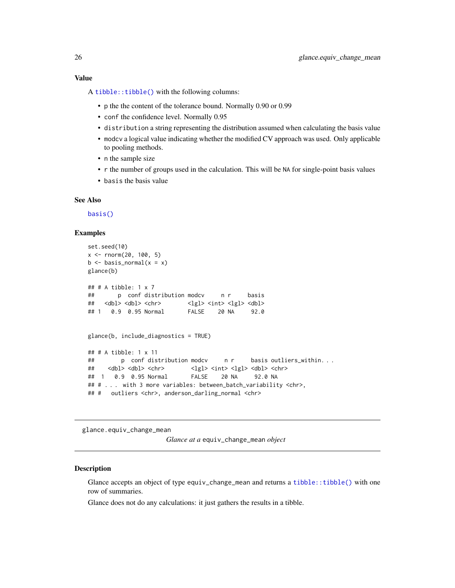## <span id="page-25-0"></span>Value

A [tibble::tibble\(\)](#page-0-0) with the following columns:

- p the the content of the tolerance bound. Normally 0.90 or 0.99
- conf the confidence level. Normally 0.95
- distribution a string representing the distribution assumed when calculating the basis value
- modcv a logical value indicating whether the modified CV approach was used. Only applicable to pooling methods.
- n the sample size
- r the number of groups used in the calculation. This will be NA for single-point basis values
- basis the basis value

## See Also

[basis\(\)](#page-6-1)

## Examples

```
set.seed(10)
x \le - rnorm(20, 100, 5)
b \leq - basis_normal(x = x)
glance(b)
## # A tibble: 1 x 7
## p conf distribution modcv n r basis
## <dbl> <dbl> <chr> </a> <lgl> <int> <lgl> <dbl>
## 1 0.9 0.95 Normal FALSE 20 NA 92.0
glance(b, include_diagnostics = TRUE)
## # A tibble: 1 x 11
## p conf distribution modcv n r basis outliers_within. . .
## <dbl> <dbl> <chr> <lgl> <int> <lgl> <dbl> <chr>
## 1 0.9 0.95 Normal FALSE 20 NA 92.0 NA
## # . . . with 3 more variables: between_batch_variability <chr>,
## # outliers <chr>, anderson_darling_normal <chr>
```
glance.equiv\_change\_mean

*Glance at a* equiv\_change\_mean *object*

#### Description

Glance accepts an object of type equiv\_change\_mean and returns a [tibble::tibble\(\)](#page-0-0) with one row of summaries.

Glance does not do any calculations: it just gathers the results in a tibble.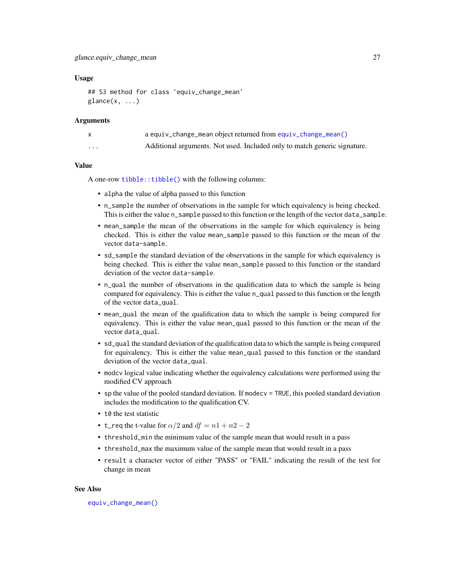## <span id="page-26-0"></span>Usage

```
## S3 method for class 'equiv_change_mean'
\text{glance}(x, \ldots)
```
## **Arguments**

|          | a equiv_change_mean object returned from equiv_change_mean()              |
|----------|---------------------------------------------------------------------------|
| $\cdots$ | Additional arguments. Not used. Included only to match generic signature. |

## Value

A one-row [tibble::tibble\(\)](#page-0-0) with the following columns:

- alpha the value of alpha passed to this function
- n\_sample the number of observations in the sample for which equivalency is being checked. This is either the value n\_sample passed to this function or the length of the vector data\_sample.
- mean\_sample the mean of the observations in the sample for which equivalency is being checked. This is either the value mean\_sample passed to this function or the mean of the vector data-sample.
- sd\_sample the standard deviation of the observations in the sample for which equivalency is being checked. This is either the value mean\_sample passed to this function or the standard deviation of the vector data-sample.
- n\_qual the number of observations in the qualification data to which the sample is being compared for equivalency. This is either the value n\_qual passed to this function or the length of the vector data\_qual.
- mean\_qual the mean of the qualification data to which the sample is being compared for equivalency. This is either the value mean\_qual passed to this function or the mean of the vector data\_qual.
- sd\_qual the standard deviation of the qualification data to which the sample is being compared for equivalency. This is either the value mean\_qual passed to this function or the standard deviation of the vector data\_qual.
- modcv logical value indicating whether the equivalency calculations were performed using the modified CV approach
- sp the value of the pooled standard deviation. If modecy  $=$  TRUE, this pooled standard deviation includes the modification to the qualification CV.
- t0 the test statistic
- t\_req the t-value for  $\alpha/2$  and  $df = n1 + n2 2$
- threshold\_min the minimum value of the sample mean that would result in a pass
- threshold\_max the maximum value of the sample mean that would result in a pass
- result a character vector of either "PASS" or "FAIL" indicating the result of the test for change in mean

## See Also

[equiv\\_change\\_mean\(\)](#page-16-1)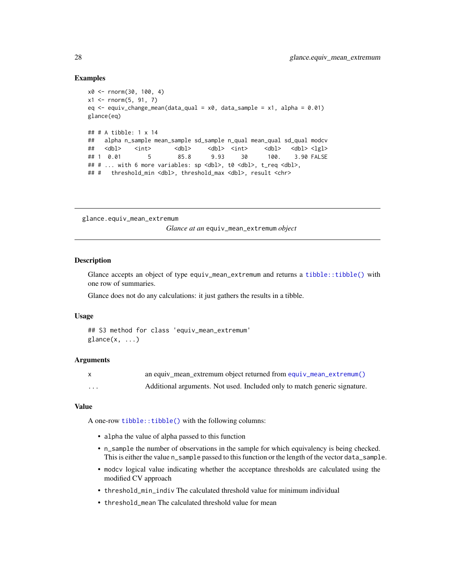## Examples

```
x0 <- rnorm(30, 100, 4)
x1 \le rnorm(5, 91, 7)
eq \leq equiv_change_mean(data_qual = x0, data_sample = x1, alpha = 0.01)
glance(eq)
## # A tibble: 1 x 14
## alpha n_sample mean_sample sd_sample n_qual mean_qual sd_qual modcv
## <dbl> <int> <dbl> <dbl> <dbl> <dbl> <lgl>
## 1 0.01 5 85.8 9.93 30 100. 3.90 FALSE
## # ... with 6 more variables: sp <dbl>, t0 <dbl>, t_req <dbl>,
## # threshold_min <dbl>, threshold_max <dbl>, result <chr>
```
glance.equiv\_mean\_extremum

*Glance at an* equiv\_mean\_extremum *object*

## Description

Glance accepts an object of type equiv\_mean\_extremum and returns a [tibble::tibble\(\)](#page-0-0) with one row of summaries.

Glance does not do any calculations: it just gathers the results in a tibble.

#### Usage

```
## S3 method for class 'equiv_mean_extremum'
\text{glance}(x, \ldots)
```
#### Arguments

|          | an equiv mean extremum object returned from equiv mean $extremum()$       |
|----------|---------------------------------------------------------------------------|
| $\cdots$ | Additional arguments. Not used. Included only to match generic signature. |

#### Value

A one-row [tibble::tibble\(\)](#page-0-0) with the following columns:

- alpha the value of alpha passed to this function
- n\_sample the number of observations in the sample for which equivalency is being checked. This is either the value n\_sample passed to this function or the length of the vector data\_sample.
- modcv logical value indicating whether the acceptance thresholds are calculated using the modified CV approach
- threshold\_min\_indiv The calculated threshold value for minimum individual
- threshold\_mean The calculated threshold value for mean

<span id="page-27-0"></span>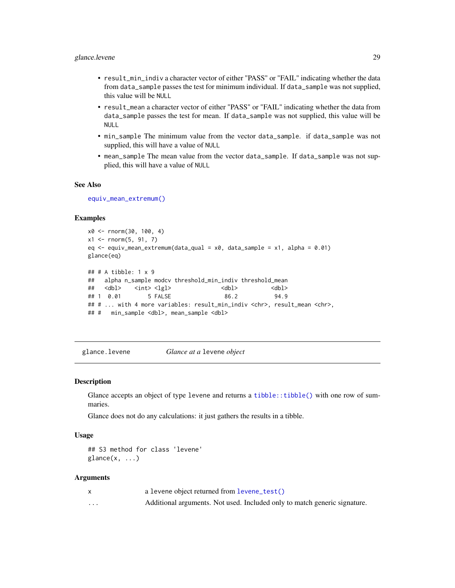- <span id="page-28-0"></span>• result\_min\_indiv a character vector of either "PASS" or "FAIL" indicating whether the data from data\_sample passes the test for minimum individual. If data\_sample was not supplied, this value will be NULL
- result\_mean a character vector of either "PASS" or "FAIL" indicating whether the data from data\_sample passes the test for mean. If data\_sample was not supplied, this value will be NULL
- min\_sample The minimum value from the vector data\_sample. if data\_sample was not supplied, this will have a value of NULL
- mean\_sample The mean value from the vector data\_sample. If data\_sample was not supplied, this will have a value of NULL

#### See Also

[equiv\\_mean\\_extremum\(\)](#page-19-1)

#### Examples

```
x0 <- rnorm(30, 100, 4)
x1 \le rnorm(5, 91, 7)
eq \leq equiv_mean_extremum(data_qual = x0, data_sample = x1, alpha = 0.01)
glance(eq)
## # A tibble: 1 x 9
## alpha n_sample modcv threshold_min_indiv threshold_mean
## <dbl> <int> <lgl> <dbl> <dbl>
## 1 0.01 5 FALSE 86.2 94.9
## # ... with 4 more variables: result_min_indiv <chr>, result_mean <chr>,
## # min_sample <dbl>, mean_sample <dbl>
```
glance.levene *Glance at a* levene *object*

#### Description

Glance accepts an object of type levene and returns a [tibble::tibble\(\)](#page-0-0) with one row of summaries.

Glance does not do any calculations: it just gathers the results in a tibble.

#### Usage

## S3 method for class 'levene'  $\text{glance}(x, \ldots)$ 

#### Arguments

|          | a levene object returned from levene_test()                               |
|----------|---------------------------------------------------------------------------|
| $\cdots$ | Additional arguments. Not used. Included only to match generic signature. |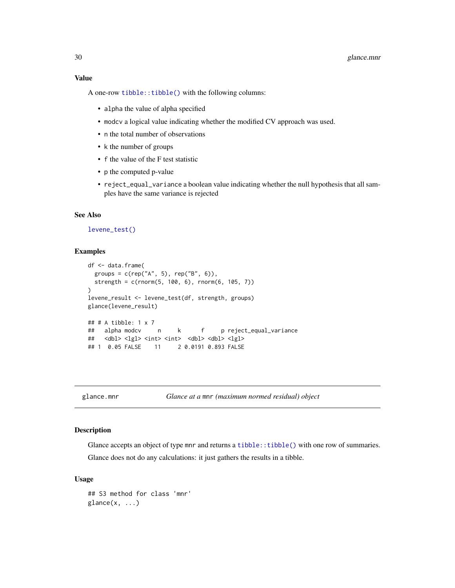## <span id="page-29-0"></span>Value

A one-row [tibble::tibble\(\)](#page-0-0) with the following columns:

- alpha the value of alpha specified
- modcv a logical value indicating whether the modified CV approach was used.
- n the total number of observations
- k the number of groups
- f the value of the F test statistic
- p the computed p-value
- reject\_equal\_variance a boolean value indicating whether the null hypothesis that all samples have the same variance is rejected

## See Also

## [levene\\_test\(\)](#page-35-1)

## Examples

```
df <- data.frame(
 groups = c(rep("A", 5), rep("B", 6)),strength = c(rnorm(5, 100, 6), rnorm(6, 105, 7))
)
levene_result <- levene_test(df, strength, groups)
glance(levene_result)
## # A tibble: 1 x 7
## alpha modcv n k f p reject_equal_variance
## <dbl> <lgl> <int> <int> <dbl> <dbl> <lgl>
## 1 0.05 FALSE 11 2 0.0191 0.893 FALSE
```
glance.mnr *Glance at a* mnr *(maximum normed residual) object*

## Description

Glance accepts an object of type mnr and returns a  $t$  ibble:: $t$  ibble() with one row of summaries. Glance does not do any calculations: it just gathers the results in a tibble.

#### Usage

```
## S3 method for class 'mnr'
\text{glance}(x, \ldots)
```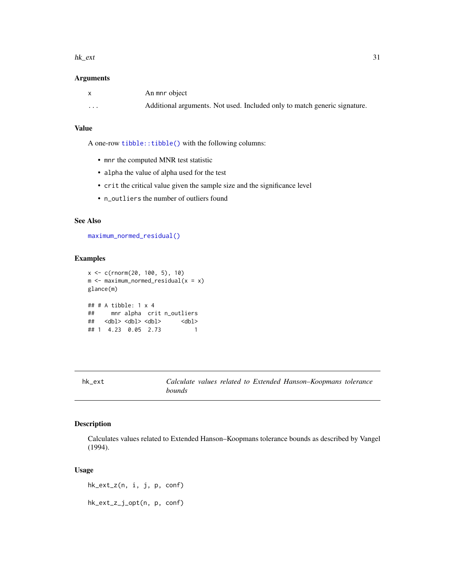#### <span id="page-30-0"></span>hk\_ext 31

## Arguments

| X        | An mnr object                                                             |
|----------|---------------------------------------------------------------------------|
| $\cdots$ | Additional arguments. Not used. Included only to match generic signature. |

## Value

A one-row [tibble::tibble\(\)](#page-0-0) with the following columns:

- mnr the computed MNR test statistic
- alpha the value of alpha used for the test
- crit the critical value given the sample size and the significance level
- n\_outliers the number of outliers found

## See Also

[maximum\\_normed\\_residual\(\)](#page-37-1)

## Examples

```
x <- c(rnorm(20, 100, 5), 10)
m <- maximum_normed_residual(x = x)
glance(m)
## # A tibble: 1 x 4
## mnr alpha crit n_outliers
## <dbl> <dbl> <dbl> <dbl>
## 1 4.23 0.05 2.73 1
```
hk\_ext *Calculate values related to Extended Hanson–Koopmans tolerance bounds*

## <span id="page-30-1"></span>Description

Calculates values related to Extended Hanson–Koopmans tolerance bounds as described by Vangel (1994).

## Usage

hk\_ext\_z(n, i, j, p, conf)

hk\_ext\_z\_j\_opt(n, p, conf)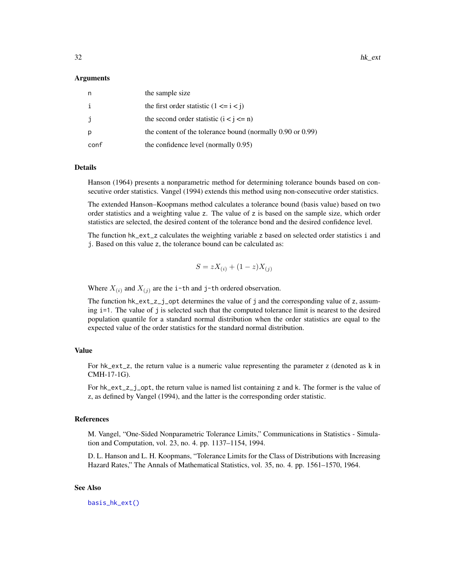#### <span id="page-31-0"></span>Arguments

| n            | the sample size                                                 |
|--------------|-----------------------------------------------------------------|
|              | the first order statistic $(1 \le i \le j)$                     |
| $\mathbf{J}$ | the second order statistic $(i < j < n)$                        |
| p            | the content of the tolerance bound (normally $0.90$ or $0.99$ ) |
| conf         | the confidence level (normally 0.95)                            |

## Details

Hanson (1964) presents a nonparametric method for determining tolerance bounds based on consecutive order statistics. Vangel (1994) extends this method using non-consecutive order statistics.

The extended Hanson–Koopmans method calculates a tolerance bound (basis value) based on two order statistics and a weighting value z. The value of z is based on the sample size, which order statistics are selected, the desired content of the tolerance bond and the desired confidence level.

The function hk\_ext\_z calculates the weighting variable z based on selected order statistics i and j. Based on this value z, the tolerance bound can be calculated as:

$$
S = zX_{(i)} + (1 - z)X_{(j)}
$$

Where  $X_{(i)}$  and  $X_{(j)}$  are the i-th and j-th ordered observation.

The function  $hk\_ext\_z\_j\_opt$  determines the value of j and the corresponding value of z, assuming i=1. The value of j is selected such that the computed tolerance limit is nearest to the desired population quantile for a standard normal distribution when the order statistics are equal to the expected value of the order statistics for the standard normal distribution.

#### Value

For hk\_ext\_z, the return value is a numeric value representing the parameter z (denoted as k in CMH-17-1G).

For hk\_ext\_z\_j\_opt, the return value is named list containing z and k. The former is the value of z, as defined by Vangel (1994), and the latter is the corresponding order statistic.

#### References

M. Vangel, "One-Sided Nonparametric Tolerance Limits," Communications in Statistics - Simulation and Computation, vol. 23, no. 4. pp. 1137–1154, 1994.

D. L. Hanson and L. H. Koopmans, "Tolerance Limits for the Class of Distributions with Increasing Hazard Rates," The Annals of Mathematical Statistics, vol. 35, no. 4. pp. 1561–1570, 1964.

## See Also

[basis\\_hk\\_ext\(\)](#page-6-2)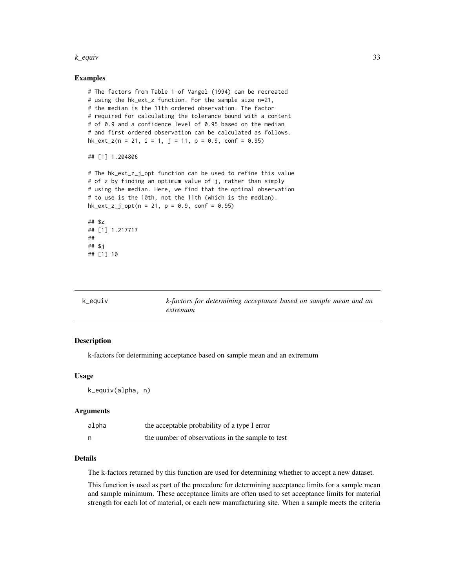#### <span id="page-32-0"></span>k\_equiv 33

## Examples

```
# The factors from Table 1 of Vangel (1994) can be recreated
# using the hk_ext_z function. For the sample size n=21,
# the median is the 11th ordered observation. The factor
# required for calculating the tolerance bound with a content
# of 0.9 and a confidence level of 0.95 based on the median
# and first ordered observation can be calculated as follows.
hk\_ext\_z(n = 21, i = 1, j = 11, p = 0.9, conf = 0.95)## [1] 1.204806
# The hk_ext_z_j_opt function can be used to refine this value
# of z by finding an optimum value of j, rather than simply
# using the median. Here, we find that the optimal observation
# to use is the 10th, not the 11th (which is the median).
hk\_ext\_z_j\_opt(n = 21, p = 0.9, conf = 0.95)## $z
## [1] 1.217717
##
## $j
```
<span id="page-32-1"></span>

| k_equiv | k-factors for determining acceptance based on sample mean and an |
|---------|------------------------------------------------------------------|
|         | extremum                                                         |

## Description

## [1] 10

k-factors for determining acceptance based on sample mean and an extremum

#### Usage

k\_equiv(alpha, n)

## Arguments

| alpha | the acceptable probability of a type I error     |
|-------|--------------------------------------------------|
|       | the number of observations in the sample to test |

## Details

The k-factors returned by this function are used for determining whether to accept a new dataset.

This function is used as part of the procedure for determining acceptance limits for a sample mean and sample minimum. These acceptance limits are often used to set acceptance limits for material strength for each lot of material, or each new manufacturing site. When a sample meets the criteria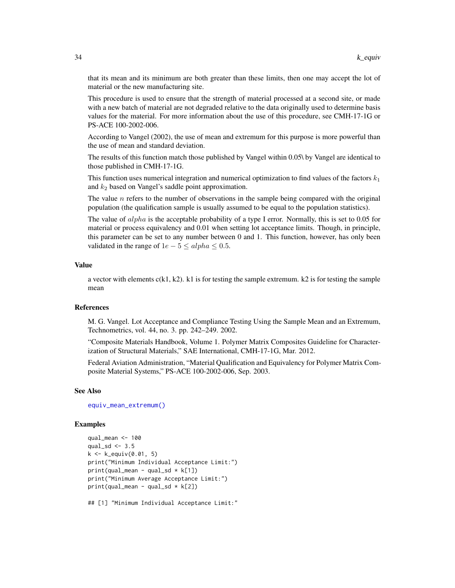that its mean and its minimum are both greater than these limits, then one may accept the lot of material or the new manufacturing site.

This procedure is used to ensure that the strength of material processed at a second site, or made with a new batch of material are not degraded relative to the data originally used to determine basis values for the material. For more information about the use of this procedure, see CMH-17-1G or PS-ACE 100-2002-006.

According to Vangel (2002), the use of mean and extremum for this purpose is more powerful than the use of mean and standard deviation.

The results of this function match those published by Vangel within 0.05\ by Vangel are identical to those published in CMH-17-1G.

This function uses numerical integration and numerical optimization to find values of the factors  $k_1$ and  $k_2$  based on Vangel's saddle point approximation.

The value  $n$  refers to the number of observations in the sample being compared with the original population (the qualification sample is usually assumed to be equal to the population statistics).

The value of  $alpha$  is the acceptable probability of a type I error. Normally, this is set to 0.05 for material or process equivalency and 0.01 when setting lot acceptance limits. Though, in principle, this parameter can be set to any number between 0 and 1. This function, however, has only been validated in the range of  $1e - 5 \leq alpha \leq 0.5$ .

## Value

a vector with elements  $c(k1, k2)$ . k1 is for testing the sample extremum. k2 is for testing the sample mean

#### References

M. G. Vangel. Lot Acceptance and Compliance Testing Using the Sample Mean and an Extremum, Technometrics, vol. 44, no. 3. pp. 242–249. 2002.

"Composite Materials Handbook, Volume 1. Polymer Matrix Composites Guideline for Characterization of Structural Materials," SAE International, CMH-17-1G, Mar. 2012.

Federal Aviation Administration, "Material Qualification and Equivalency for Polymer Matrix Composite Material Systems," PS-ACE 100-2002-006, Sep. 2003.

#### See Also

[equiv\\_mean\\_extremum\(\)](#page-19-1)

#### Examples

```
qual_mean <- 100
qual_sd \leq -3.5k <- k_equiv(0.01, 5)
print("Minimum Individual Acceptance Limit:")
print(qual_mean - qual_sd * k[1])print("Minimum Average Acceptance Limit:")
print(qual_mean - qual_sd * k[2])
```
## [1] "Minimum Individual Acceptance Limit:"

<span id="page-33-0"></span>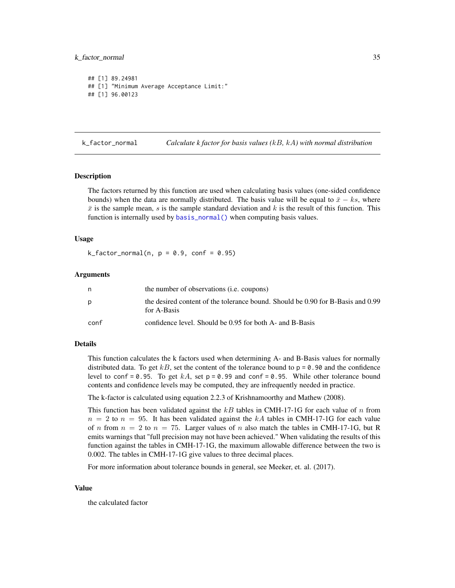## <span id="page-34-0"></span>k\_factor\_normal 35

```
## [1] 89.24981
## [1] "Minimum Average Acceptance Limit:"
## [1] 96.00123
```
<span id="page-34-1"></span>k\_factor\_normal *Calculate k factor for basis values (*kB*,* kA*) with normal distribution*

#### **Description**

The factors returned by this function are used when calculating basis values (one-sided confidence bounds) when the data are normally distributed. The basis value will be equal to  $\bar{x} - ks$ , where  $\bar{x}$  is the sample mean, s is the sample standard deviation and k is the result of this function. This function is internally used by [basis\\_normal\(\)](#page-6-2) when computing basis values.

#### Usage

 $k_f = 0.9$ ,  $k_f = 0.9$ ,  $k_f = 0.95$ 

#### Arguments

| n    | the number of observations ( <i>i.e.</i> coupons)                                              |
|------|------------------------------------------------------------------------------------------------|
| D    | the desired content of the tolerance bound. Should be 0.90 for B-Basis and 0.99<br>for A-Basis |
| conf | confidence level. Should be 0.95 for both A- and B-Basis                                       |

## Details

This function calculates the k factors used when determining A- and B-Basis values for normally distributed data. To get  $kB$ , set the content of the tolerance bound to  $p = 0.90$  and the confidence level to conf = 0.95. To get  $kA$ , set  $p = 0.99$  and conf = 0.95. While other tolerance bound contents and confidence levels may be computed, they are infrequently needed in practice.

The k-factor is calculated using equation 2.2.3 of Krishnamoorthy and Mathew (2008).

This function has been validated against the  $kB$  tables in CMH-17-1G for each value of n from  $n = 2$  to  $n = 95$ . It has been validated against the kA tables in CMH-17-1G for each value of n from  $n = 2$  to  $n = 75$ . Larger values of n also match the tables in CMH-17-1G, but R emits warnings that "full precision may not have been achieved." When validating the results of this function against the tables in CMH-17-1G, the maximum allowable difference between the two is 0.002. The tables in CMH-17-1G give values to three decimal places.

For more information about tolerance bounds in general, see Meeker, et. al. (2017).

#### Value

the calculated factor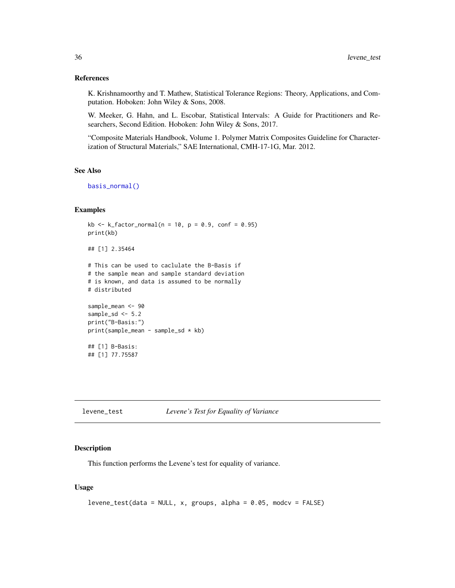## <span id="page-35-0"></span>References

K. Krishnamoorthy and T. Mathew, Statistical Tolerance Regions: Theory, Applications, and Computation. Hoboken: John Wiley & Sons, 2008.

W. Meeker, G. Hahn, and L. Escobar, Statistical Intervals: A Guide for Practitioners and Researchers, Second Edition. Hoboken: John Wiley & Sons, 2017.

"Composite Materials Handbook, Volume 1. Polymer Matrix Composites Guideline for Characterization of Structural Materials," SAE International, CMH-17-1G, Mar. 2012.

## See Also

[basis\\_normal\(\)](#page-6-2)

## Examples

```
kb \le k_f factor_normal(n = 10, p = 0.9, conf = 0.95)
print(kb)
## [1] 2.35464
# This can be used to caclulate the B-Basis if
# the sample mean and sample standard deviation
# is known, and data is assumed to be normally
# distributed
sample_mean <- 90
sample_sd <-5.2print("B-Basis:")
print(sample_mean - sample_sd * kb)
## [1] B-Basis:
## [1] 77.75587
```
<span id="page-35-1"></span>levene\_test *Levene's Test for Equality of Variance*

## Description

This function performs the Levene's test for equality of variance.

## Usage

```
levene_test(data = NULL, x, groups, alpha = 0.05, modcv = FALSE)
```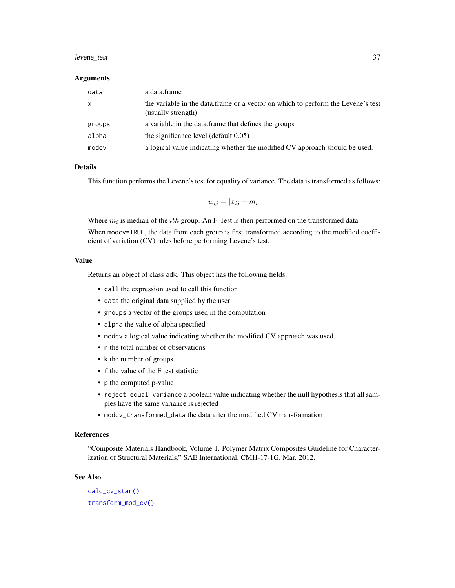#### <span id="page-36-0"></span>levene\_test 37

#### Arguments

| data         | a data.frame                                                                                           |
|--------------|--------------------------------------------------------------------------------------------------------|
| $\mathsf{X}$ | the variable in the data.frame or a vector on which to perform the Levene's test<br>(usually strength) |
| groups       | a variable in the data frame that defines the groups                                                   |
| alpha        | the significance level (default 0.05)                                                                  |
| modcy        | a logical value indicating whether the modified CV approach should be used.                            |

## Details

This function performs the Levene's test for equality of variance. The data is transformed as follows:

 $w_{ij} = |x_{ij} - m_i|$ 

Where  $m_i$  is median of the *ith* group. An F-Test is then performed on the transformed data.

When modcv=TRUE, the data from each group is first transformed according to the modified coefficient of variation (CV) rules before performing Levene's test.

## Value

Returns an object of class adk. This object has the following fields:

- call the expression used to call this function
- data the original data supplied by the user
- groups a vector of the groups used in the computation
- alpha the value of alpha specified
- modcv a logical value indicating whether the modified CV approach was used.
- n the total number of observations
- k the number of groups
- f the value of the F test statistic
- p the computed p-value
- reject\_equal\_variance a boolean value indicating whether the null hypothesis that all samples have the same variance is rejected
- modcv\_transformed\_data the data after the modified CV transformation

#### References

"Composite Materials Handbook, Volume 1. Polymer Matrix Composites Guideline for Characterization of Structural Materials," SAE International, CMH-17-1G, Mar. 2012.

## See Also

[calc\\_cv\\_star\(\)](#page-14-1) [transform\\_mod\\_cv\(\)](#page-46-1)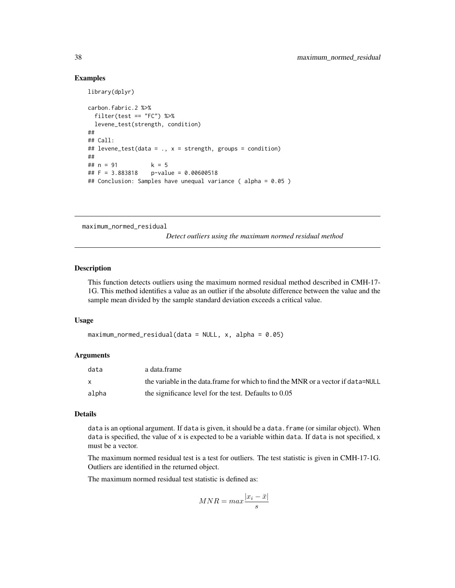## Examples

library(dplyr)

```
carbon.fabric.2 %>%
 filter(test == "FC") %>%
 levene_test(strength, condition)
##
## Call:
## levene_test(data = ., x = strength, groups = condition)
##
## n = 91 k = 5
## F = 3.883818 p-value = 0.00600518
## Conclusion: Samples have unequal variance ( alpha = 0.05 )
```
<span id="page-37-1"></span>maximum\_normed\_residual

*Detect outliers using the maximum normed residual method*

## Description

This function detects outliers using the maximum normed residual method described in CMH-17- 1G. This method identifies a value as an outlier if the absolute difference between the value and the sample mean divided by the sample standard deviation exceeds a critical value.

## Usage

```
maximum_{1} maximum_normed_residual(data = NULL, x, alpha = 0.05)
```
## Arguments

| data  | a data frame                                                                       |
|-------|------------------------------------------------------------------------------------|
|       | the variable in the data. frame for which to find the MNR or a vector if data=NULL |
| alpha | the significance level for the test. Defaults to 0.05                              |

## Details

data is an optional argument. If data is given, it should be a data. frame (or similar object). When data is specified, the value of x is expected to be a variable within data. If data is not specified, x must be a vector.

The maximum normed residual test is a test for outliers. The test statistic is given in CMH-17-1G. Outliers are identified in the returned object.

The maximum normed residual test statistic is defined as:

$$
MNR = max \frac{|x_i - \bar{x}|}{s}
$$

<span id="page-37-0"></span>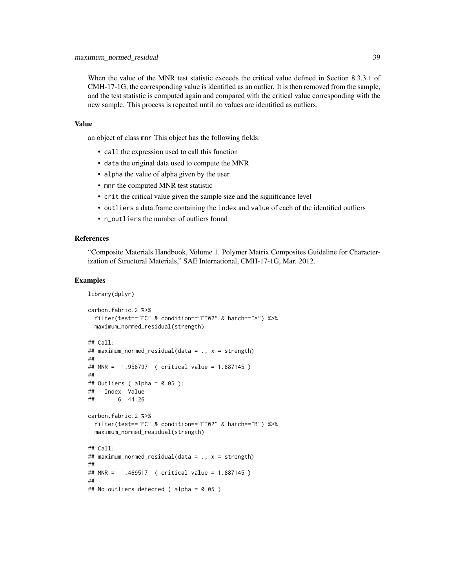When the value of the MNR test statistic exceeds the critical value defined in Section 8.3.3.1 of CMH-17-1G, the corresponding value is identified as an outlier. It is then removed from the sample, and the test statistic is computed again and compared with the critical value corresponding with the new sample. This process is repeated until no values are identified as outliers.

#### Value

an object of class mnr This object has the following fields:

- call the expression used to call this function
- data the original data used to compute the MNR
- alpha the value of alpha given by the user
- mnr the computed MNR test statistic
- crit the critical value given the sample size and the significance level
- outliers a data.frame containing the index and value of each of the identified outliers
- n\_outliers the number of outliers found

## References

"Composite Materials Handbook, Volume 1. Polymer Matrix Composites Guideline for Characterization of Structural Materials," SAE International, CMH-17-1G, Mar. 2012.

## Examples

```
library(dplyr)
```

```
carbon.fabric.2 %>%
 filter(test=="FC" & condition=="ETW2" & batch=="A") %>%
 maximum_normed_residual(strength)
## Call:
## maximum_normed_residual(data = ., x = strength)
##
## MNR = 1.958797 ( critical value = 1.887145 )
##
## Outliers ( alpha = 0.05 ):
## Index Value
## 6 44.26
carbon.fabric.2 %>%
 filter(test=="FC" & condition=="ETW2" & batch=="B") %>%
 maximum_normed_residual(strength)
## Call:
## maximum_normed_residual(data = ., x = strength)
##
## MNR = 1.469517 ( critical value = 1.887145 )
##
## No outliers detected ( alpha = 0.05 )
```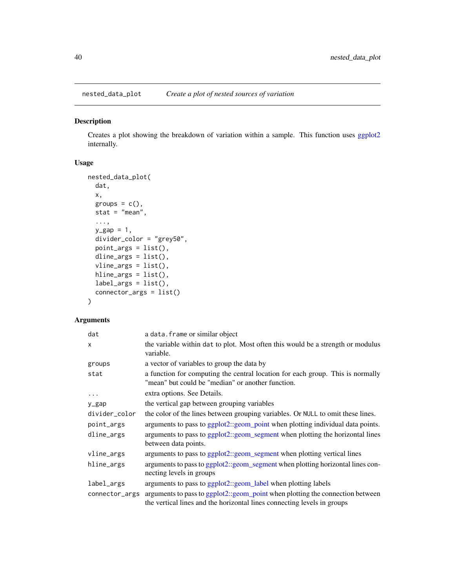<span id="page-39-0"></span>nested\_data\_plot *Create a plot of nested sources of variation*

## Description

Creates a plot showing the breakdown of variation within a sample. This function uses [ggplot2](#page-0-0) internally.

## Usage

```
nested_data_plot(
 dat,
 x,
 groups = c(),
 stat = "mean",
  ...,
 y_gap = 1,
 divider_color = "grey50",
 point_{args} = list(),
 dline_args = list(),
 vline_args = list(),
 hline_args = list(),
 label_args = list(),
  connector_args = list()
\mathcal{L}
```
## Arguments

| dat            | a data. frame or similar object                                                                                                                          |
|----------------|----------------------------------------------------------------------------------------------------------------------------------------------------------|
| $\times$       | the variable within dat to plot. Most often this would be a strength or modulus<br>variable.                                                             |
| groups         | a vector of variables to group the data by                                                                                                               |
| stat           | a function for computing the central location for each group. This is normally<br>"mean" but could be "median" or another function.                      |
| $\cdots$       | extra options. See Details.                                                                                                                              |
| y_gap          | the vertical gap between grouping variables                                                                                                              |
| divider_color  | the color of the lines between grouping variables. Or NULL to omit these lines.                                                                          |
| point_args     | arguments to pass to ggplot2::geom_point when plotting individual data points.                                                                           |
| dline_args     | arguments to pass to ggplot2::geom_segment when plotting the horizontal lines<br>between data points.                                                    |
| vline_args     | arguments to pass to ggplot2::geom_segment when plotting vertical lines                                                                                  |
| hline_args     | arguments to pass to ggplot2::geom_segment when plotting horizontal lines con-<br>necting levels in groups                                               |
| label_args     | arguments to pass to ggplot2::geom_label when plotting labels                                                                                            |
| connector_args | arguments to pass to ggplot2::geom_point when plotting the connection between<br>the vertical lines and the horizontal lines connecting levels in groups |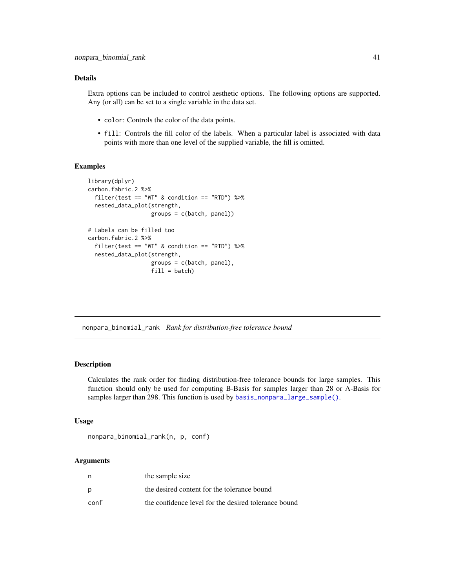## <span id="page-40-0"></span>Details

Extra options can be included to control aesthetic options. The following options are supported. Any (or all) can be set to a single variable in the data set.

- color: Controls the color of the data points.
- fill: Controls the fill color of the labels. When a particular label is associated with data points with more than one level of the supplied variable, the fill is omitted.

#### Examples

```
library(dplyr)
carbon.fabric.2 %>%
  filter(test == "WT" & condition == "RTD") %>%
  nested_data_plot(strength,
                   groups = c(batch, panel))
# Labels can be filled too
carbon.fabric.2 %>%
  filter(test == "WT" & condition == "RTD") %>%
  nested_data_plot(strength,
                   groups = c(batch, panel),
                   fill = batch)
```
nonpara\_binomial\_rank *Rank for distribution-free tolerance bound*

## **Description**

Calculates the rank order for finding distribution-free tolerance bounds for large samples. This function should only be used for computing B-Basis for samples larger than 28 or A-Basis for samples larger than 298. This function is used by [basis\\_nonpara\\_large\\_sample\(\)](#page-6-2).

#### Usage

```
nonpara_binomial_rank(n, p, conf)
```
## Arguments

| n    | the sample size                                      |
|------|------------------------------------------------------|
| p    | the desired content for the tolerance bound          |
| conf | the confidence level for the desired tolerance bound |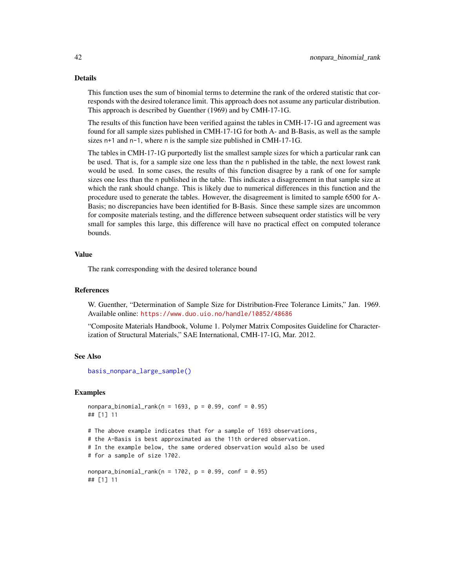## Details

This function uses the sum of binomial terms to determine the rank of the ordered statistic that corresponds with the desired tolerance limit. This approach does not assume any particular distribution. This approach is described by Guenther (1969) and by CMH-17-1G.

The results of this function have been verified against the tables in CMH-17-1G and agreement was found for all sample sizes published in CMH-17-1G for both A- and B-Basis, as well as the sample sizes n+1 and n-1, where n is the sample size published in CMH-17-1G.

The tables in CMH-17-1G purportedly list the smallest sample sizes for which a particular rank can be used. That is, for a sample size one less than the n published in the table, the next lowest rank would be used. In some cases, the results of this function disagree by a rank of one for sample sizes one less than the n published in the table. This indicates a disagreement in that sample size at which the rank should change. This is likely due to numerical differences in this function and the procedure used to generate the tables. However, the disagreement is limited to sample 6500 for A-Basis; no discrepancies have been identified for B-Basis. Since these sample sizes are uncommon for composite materials testing, and the difference between subsequent order statistics will be very small for samples this large, this difference will have no practical effect on computed tolerance bounds.

## Value

The rank corresponding with the desired tolerance bound

## References

W. Guenther, "Determination of Sample Size for Distribution-Free Tolerance Limits," Jan. 1969. Available online: <https://www.duo.uio.no/handle/10852/48686>

"Composite Materials Handbook, Volume 1. Polymer Matrix Composites Guideline for Characterization of Structural Materials," SAE International, CMH-17-1G, Mar. 2012.

## See Also

[basis\\_nonpara\\_large\\_sample\(\)](#page-6-2)

## Examples

```
nonpara\_binomial\_rank(n = 1693, p = 0.99, conf = 0.95)## [1] 11
# The above example indicates that for a sample of 1693 observations,
```

```
# the A-Basis is best approximated as the 11th ordered observation.
# In the example below, the same ordered observation would also be used
# for a sample of size 1702.
```

```
nonpara_binomial\_rank(n = 1702, p = 0.99, conf = 0.95)## [1] 11
```
<span id="page-41-0"></span>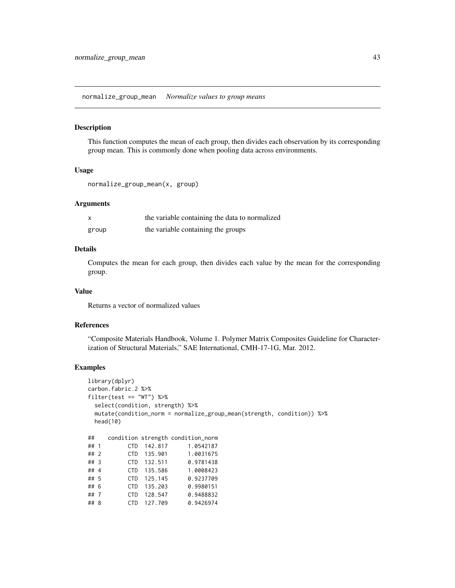<span id="page-42-1"></span><span id="page-42-0"></span>normalize\_group\_mean *Normalize values to group means*

#### Description

This function computes the mean of each group, then divides each observation by its corresponding group mean. This is commonly done when pooling data across environments.

## Usage

```
normalize_group_mean(x, group)
```
## Arguments

| X     | the variable containing the data to normalized |
|-------|------------------------------------------------|
| group | the variable containing the groups             |

## Details

Computes the mean for each group, then divides each value by the mean for the corresponding group.

## Value

Returns a vector of normalized values

## References

"Composite Materials Handbook, Volume 1. Polymer Matrix Composites Guideline for Characterization of Structural Materials," SAE International, CMH-17-1G, Mar. 2012.

## Examples

```
library(dplyr)
carbon.fabric.2 %>%
filter(test == "WT") %>%
 select(condition, strength) %>%
 mutate(condition_norm = normalize_group_mean(strength, condition)) %>%
 head(10)
## condition strength condition_norm
## 1 CTD 142.817 1.0542187
           CTD 135.901
```

| ## 2   |  | UD 135.901  | 1.0031075 |
|--------|--|-------------|-----------|
| $##$ 3 |  | CTD 132.511 | 0.9781438 |
| ## 4   |  | CTD 135.586 | 1.0008423 |
| ## 5   |  | CTD 125.145 | 0.9237709 |
| ## 6   |  | CTD 135.203 | 0.9980151 |
| ##7    |  | CTD 128.547 | 0.9488832 |
| ## 8   |  | CTD 127.709 | 0.9426974 |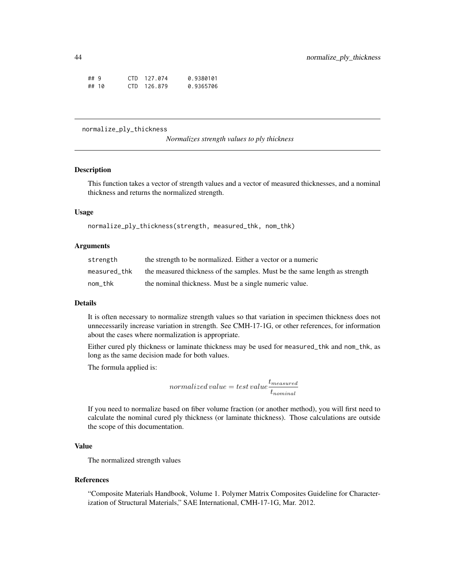<span id="page-43-0"></span>

| ##9 |       | CTD 127.074 | 0.9380101 |
|-----|-------|-------------|-----------|
|     | ## 10 | CTD 126.879 | 0.9365706 |

normalize\_ply\_thickness

*Normalizes strength values to ply thickness*

## Description

This function takes a vector of strength values and a vector of measured thicknesses, and a nominal thickness and returns the normalized strength.

## Usage

normalize\_ply\_thickness(strength, measured\_thk, nom\_thk)

## **Arguments**

| strength     | the strength to be normalized. Either a vector or a numeric                |
|--------------|----------------------------------------------------------------------------|
| measured thk | the measured thickness of the samples. Must be the same length as strength |
| nom_thk      | the nominal thickness. Must be a single numeric value.                     |

## Details

It is often necessary to normalize strength values so that variation in specimen thickness does not unnecessarily increase variation in strength. See CMH-17-1G, or other references, for information about the cases where normalization is appropriate.

Either cured ply thickness or laminate thickness may be used for measured\_thk and nom\_thk, as long as the same decision made for both values.

The formula applied is:

$$
normalized\ value = test\ value \frac{t_{measured}}{t_{nominal}}
$$

If you need to normalize based on fiber volume fraction (or another method), you will first need to calculate the nominal cured ply thickness (or laminate thickness). Those calculations are outside the scope of this documentation.

## Value

The normalized strength values

#### References

"Composite Materials Handbook, Volume 1. Polymer Matrix Composites Guideline for Characterization of Structural Materials," SAE International, CMH-17-1G, Mar. 2012.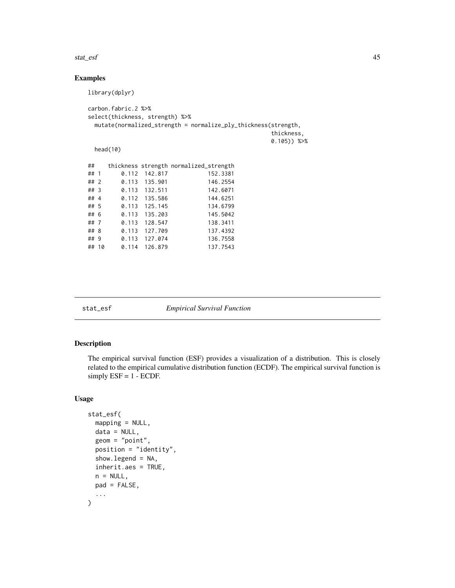#### <span id="page-44-0"></span>stat\_esf 45

## Examples

```
library(dplyr)
carbon.fabric.2 %>%
select(thickness, strength) %>%
 mutate(normalized_strength = normalize_ply_thickness(strength,
                                         thickness,
                                         0.105)) %>%
 head(10)
## thickness strength normalized_strength
## 1 0.112 142.817 152.3381
## 2 0.113 135.901 146.2554
## 3 0.113 132.511 142.6071
## 4 0.112 135.586 144.6251
## 5 0.113 125.145
## 6 0.113 135.203 145.5042
## 7 0.113 128.547 138.3411
## 8 0.113 127.709 137.4392
## 9 0.113 127.074 136.7558
## 10 0.114 126.879 137.7543
```

| stat | ρs |
|------|----|

**Subset** *Empirical Survival Function* 

## Description

The empirical survival function (ESF) provides a visualization of a distribution. This is closely related to the empirical cumulative distribution function (ECDF). The empirical survival function is simply  $ESF = 1 - ECDF$ .

#### Usage

```
stat_esf(
 mapping = NULL,data = NULL,
  geom = "point",
 position = "identity",
  show.legend = NA,
  inherit.aes = TRUE,
  n = NULL,
 pad = FALSE,
  ...
)
```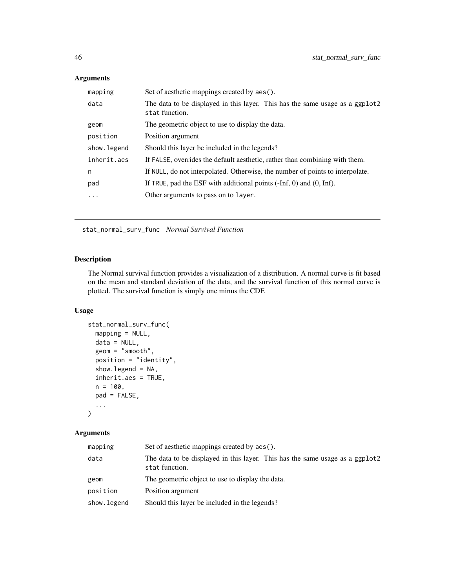## Arguments

| mapping      | Set of aesthetic mappings created by aes().                                                    |
|--------------|------------------------------------------------------------------------------------------------|
| data         | The data to be displayed in this layer. This has the same usage as a ggplot2<br>stat function. |
| geom         | The geometric object to use to display the data.                                               |
| position     | Position argument                                                                              |
| show. legend | Should this layer be included in the legends?                                                  |
| inherit.aes  | If FALSE, overrides the default aesthetic, rather than combining with them.                    |
| n            | If NULL, do not interpolated. Otherwise, the number of points to interpolate.                  |
| pad          | If TRUE, pad the ESF with additional points $(-Inf, 0)$ and $(0, Inf)$ .                       |
| $\ddots$     | Other arguments to pass on to layer.                                                           |

stat\_normal\_surv\_func *Normal Survival Function*

## Description

The Normal survival function provides a visualization of a distribution. A normal curve is fit based on the mean and standard deviation of the data, and the survival function of this normal curve is plotted. The survival function is simply one minus the CDF.

## Usage

```
stat_normal_surv_func(
 mapping = NULL,
 data = NULL,geom = "smooth",
 position = "identity",
  show.legend = NA,
 inherit.aes = TRUE,
 n = 100,pad = FALSE,...
\mathcal{L}
```
## Arguments

| mapping     | Set of aesthetic mappings created by aes().                                                    |
|-------------|------------------------------------------------------------------------------------------------|
| data        | The data to be displayed in this layer. This has the same usage as a ggplot2<br>stat function. |
| geom        | The geometric object to use to display the data.                                               |
| position    | Position argument                                                                              |
| show.legend | Should this layer be included in the legends?                                                  |

<span id="page-45-0"></span>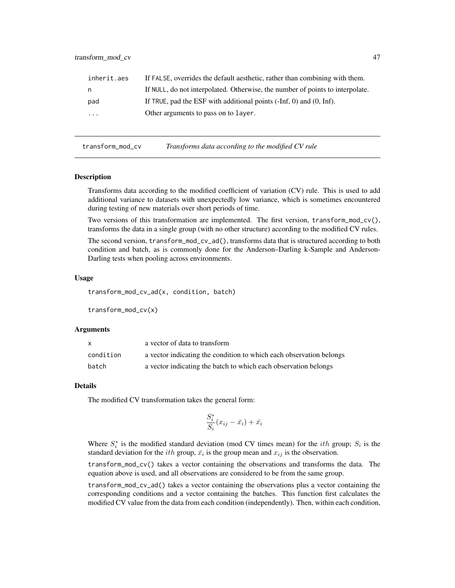<span id="page-46-0"></span>

| inherit.aes | If FALSE, overrides the default aesthetic, rather than combining with them.   |
|-------------|-------------------------------------------------------------------------------|
| n.          | If NULL, do not interpolated. Otherwise, the number of points to interpolate. |
| pad         | If TRUE, pad the ESF with additional points $(-Inf, 0)$ and $(0, Inf)$ .      |
| $\cdot$     | Other arguments to pass on to layer.                                          |
|             |                                                                               |

<span id="page-46-1"></span>transform\_mod\_cv *Transforms data according to the modified CV rule*

#### Description

Transforms data according to the modified coefficient of variation (CV) rule. This is used to add additional variance to datasets with unexpectedly low variance, which is sometimes encountered during testing of new materials over short periods of time.

Two versions of this transformation are implemented. The first version, transform\_mod\_cv(), transforms the data in a single group (with no other structure) according to the modified CV rules.

The second version, transform\_mod\_cv\_ad(), transforms data that is structured according to both condition and batch, as is commonly done for the Anderson–Darling k-Sample and Anderson-Darling tests when pooling across environments.

#### Usage

transform\_mod\_cv\_ad(x, condition, batch)

transform\_mod\_cv(x)

## Arguments

| X         | a vector of data to transform                                       |
|-----------|---------------------------------------------------------------------|
| condition | a vector indicating the condition to which each observation belongs |
| batch     | a vector indicating the batch to which each observation belongs     |

#### Details

The modified CV transformation takes the general form:

$$
\frac{S_i^*}{S_i}(x_{ij} - \bar{x}_i) + \bar{x}_i
$$

Where  $S_i^*$  is the modified standard deviation (mod CV times mean) for the *ith* group;  $S_i$  is the standard deviation for the *ith* group,  $\bar{x}_i$  is the group mean and  $x_{ij}$  is the observation.

transform\_mod\_cv() takes a vector containing the observations and transforms the data. The equation above is used, and all observations are considered to be from the same group.

transform\_mod\_cv\_ad() takes a vector containing the observations plus a vector containing the corresponding conditions and a vector containing the batches. This function first calculates the modified CV value from the data from each condition (independently). Then, within each condition,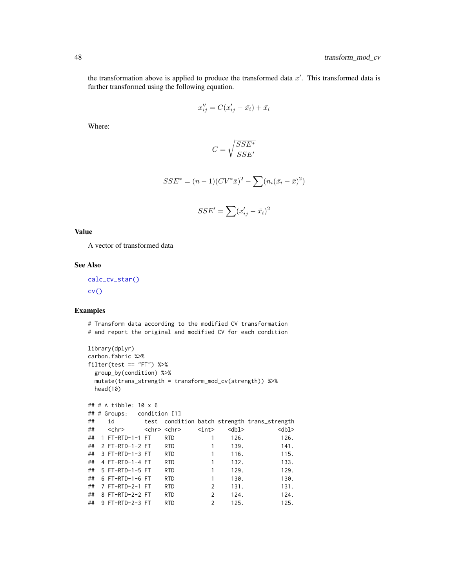<span id="page-47-0"></span>the transformation above is applied to produce the transformed data  $x'$ . This transformed data is further transformed using the following equation.

$$
x_{ij}^{\prime\prime} = C(x_{ij}^{\prime} - \bar{x}_i) + \bar{x}_i
$$

Where:

$$
C = \sqrt{\frac{SSE^*}{SSE'}}
$$

$$
SSE^* = (n-1)(CV^*\bar{x})^2 - \sum (n_i(\bar{x}_i - \bar{x})^2)
$$

$$
SSE' = \sum (x'_{ij} - \bar{x}_i)^2
$$

## Value

A vector of transformed data

## See Also

[calc\\_cv\\_star\(\)](#page-14-1) [cv\(\)](#page-15-1)

## Examples

# Transform data according to the modified CV transformation # and report the original and modified CV for each condition library(dplyr) carbon.fabric %>% filter(test == "FT") %>% group\_by(condition) %>% mutate(trans\_strength = transform\_mod\_cv(strength)) %>% head(10) ## # A tibble: 10 x 6 ## # Groups: condition [1] ## id test condition batch strength trans\_strength ## <chr> <chr> <chr> <int> <dbl> <dbl> ## 1 FT-RTD-1-1 FT RTD 1 126. 126. ## 2 FT-RTD-1-2 FT RTD 1 139. 141. ## 3 FT-RTD-1-3 FT RTD 1 116. 115. ## 4 FT-RTD-1-4 FT RTD 1 132. 133. ## 5 FT-RTD-1-5 FT RTD 1 129. 129. ## 6 FT-RTD-1-6 FT RTD 1 130. 130. ## 7 FT-RTD-2-1 FT RTD 2 131. 131. ## 8 FT-RTD-2-2 FT RTD 2 124. 124. ## 9 FT-RTD-2-3 FT RTD 2 125. 125.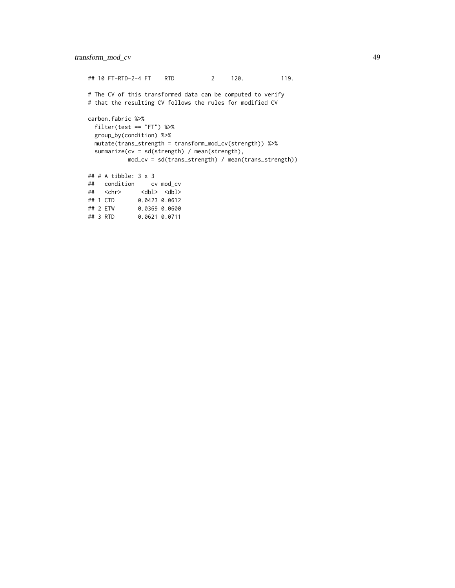## 10 FT-RTD-2-4 FT RTD 2 120. 119. # The CV of this transformed data can be computed to verify # that the resulting CV follows the rules for modified CV carbon.fabric %>% filter(test == "FT") %>% group\_by(condition) %>% mutate(trans\_strength = transform\_mod\_cv(strength)) %>% summarize(cv = sd(strength) / mean(strength), mod\_cv = sd(trans\_strength) / mean(trans\_strength)) ## # A tibble: 3 x 3 ## condition cv mod\_cv ## <chr> <dbl> <dbl> ## 1 CTD 0.0423 0.0612 ## 2 ETW 0.0369 0.0600  $0.0621$  0.0711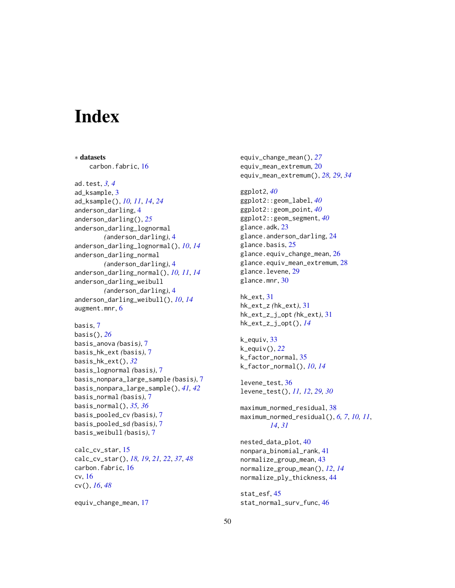# <span id="page-49-0"></span>**Index**

∗ datasets carbon.fabric, [16](#page-15-0) ad.test, *[3,](#page-2-0) [4](#page-3-0)* ad\_ksample, [3](#page-2-0) ad\_ksample(), *[10,](#page-9-0) [11](#page-10-0)*, *[14](#page-13-0)*, *[24](#page-23-0)* anderson\_darling, [4](#page-3-0) anderson\_darling(), *[25](#page-24-0)* anderson\_darling\_lognormal *(*anderson\_darling*)*, [4](#page-3-0) anderson\_darling\_lognormal(), *[10](#page-9-0)*, *[14](#page-13-0)* anderson\_darling\_normal *(*anderson\_darling*)*, [4](#page-3-0) anderson\_darling\_normal(), *[10,](#page-9-0) [11](#page-10-0)*, *[14](#page-13-0)* anderson\_darling\_weibull *(*anderson\_darling*)*, [4](#page-3-0) anderson\_darling\_weibull(), *[10](#page-9-0)*, *[14](#page-13-0)* augment.mnr, [6](#page-5-0)

basis, [7](#page-6-0) basis(), *[26](#page-25-0)* basis\_anova *(*basis*)*, [7](#page-6-0) basis\_hk\_ext *(*basis*)*, [7](#page-6-0) basis\_hk\_ext(), *[32](#page-31-0)* basis\_lognormal *(*basis*)*, [7](#page-6-0) basis\_nonpara\_large\_sample *(*basis*)*, [7](#page-6-0) basis\_nonpara\_large\_sample(), *[41,](#page-40-0) [42](#page-41-0)* basis\_normal *(*basis*)*, [7](#page-6-0) basis\_normal(), *[35,](#page-34-0) [36](#page-35-0)* basis\_pooled\_cv *(*basis*)*, [7](#page-6-0) basis\_pooled\_sd *(*basis*)*, [7](#page-6-0) basis\_weibull *(*basis*)*, [7](#page-6-0)

calc\_cv\_star, [15](#page-14-0) calc\_cv\_star(), *[18,](#page-17-0) [19](#page-18-0)*, *[21,](#page-20-0) [22](#page-21-0)*, *[37](#page-36-0)*, *[48](#page-47-0)* carbon.fabric, [16](#page-15-0) cv, [16](#page-15-0) cv(), *[16](#page-15-0)*, *[48](#page-47-0)*

equiv\_change\_mean, [17](#page-16-0)

equiv\_change\_mean(), *[27](#page-26-0)* equiv\_mean\_extremum, [20](#page-19-0) equiv\_mean\_extremum(), *[28,](#page-27-0) [29](#page-28-0)*, *[34](#page-33-0)* ggplot2, *[40](#page-39-0)* ggplot2::geom\_label, *[40](#page-39-0)* ggplot2::geom\_point, *[40](#page-39-0)* ggplot2::geom\_segment, *[40](#page-39-0)* glance.adk, [23](#page-22-0) glance.anderson\_darling, [24](#page-23-0) glance.basis, [25](#page-24-0) glance.equiv\_change\_mean, [26](#page-25-0) glance.equiv\_mean\_extremum, [28](#page-27-0) glance.levene, [29](#page-28-0) glance.mnr, [30](#page-29-0)

hk\_ext, [31](#page-30-0) hk\_ext\_z *(*hk\_ext*)*, [31](#page-30-0) hk\_ext\_z\_j\_opt *(*hk\_ext*)*, [31](#page-30-0) hk\_ext\_z\_j\_opt(), *[14](#page-13-0)*

k\_equiv, [33](#page-32-0) k\_equiv(), *[22](#page-21-0)* k\_factor\_normal, [35](#page-34-0) k\_factor\_normal(), *[10](#page-9-0)*, *[14](#page-13-0)*

levene\_test, [36](#page-35-0) levene\_test(), *[11,](#page-10-0) [12](#page-11-0)*, *[29,](#page-28-0) [30](#page-29-0)*

maximum\_normed\_residual, [38](#page-37-0) maximum\_normed\_residual(), *[6,](#page-5-0) [7](#page-6-0)*, *[10,](#page-9-0) [11](#page-10-0)*, *[14](#page-13-0)*, *[31](#page-30-0)*

nested\_data\_plot, [40](#page-39-0) nonpara\_binomial\_rank, [41](#page-40-0) normalize\_group\_mean, [43](#page-42-0) normalize\_group\_mean(), *[12](#page-11-0)*, *[14](#page-13-0)* normalize\_ply\_thickness, [44](#page-43-0)

stat\_esf, [45](#page-44-0) stat\_normal\_surv\_func, [46](#page-45-0)